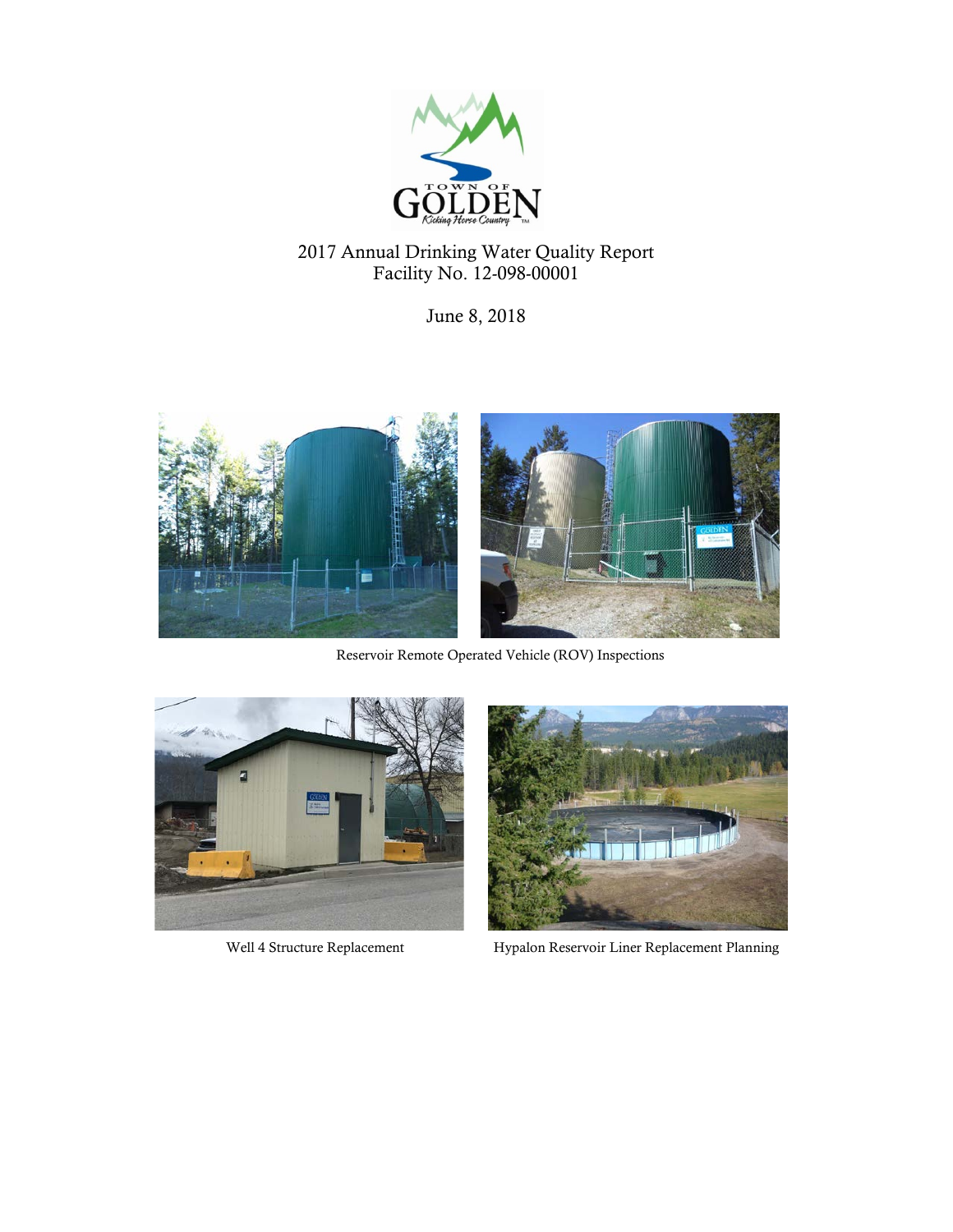

# 2017 Annual Drinking Water Quality Report Facility No. 12-098-00001

June 8, 2018



Reservoir Remote Operated Vehicle (ROV) Inspections





Well 4 Structure Replacement Hypalon Reservoir Liner Replacement Planning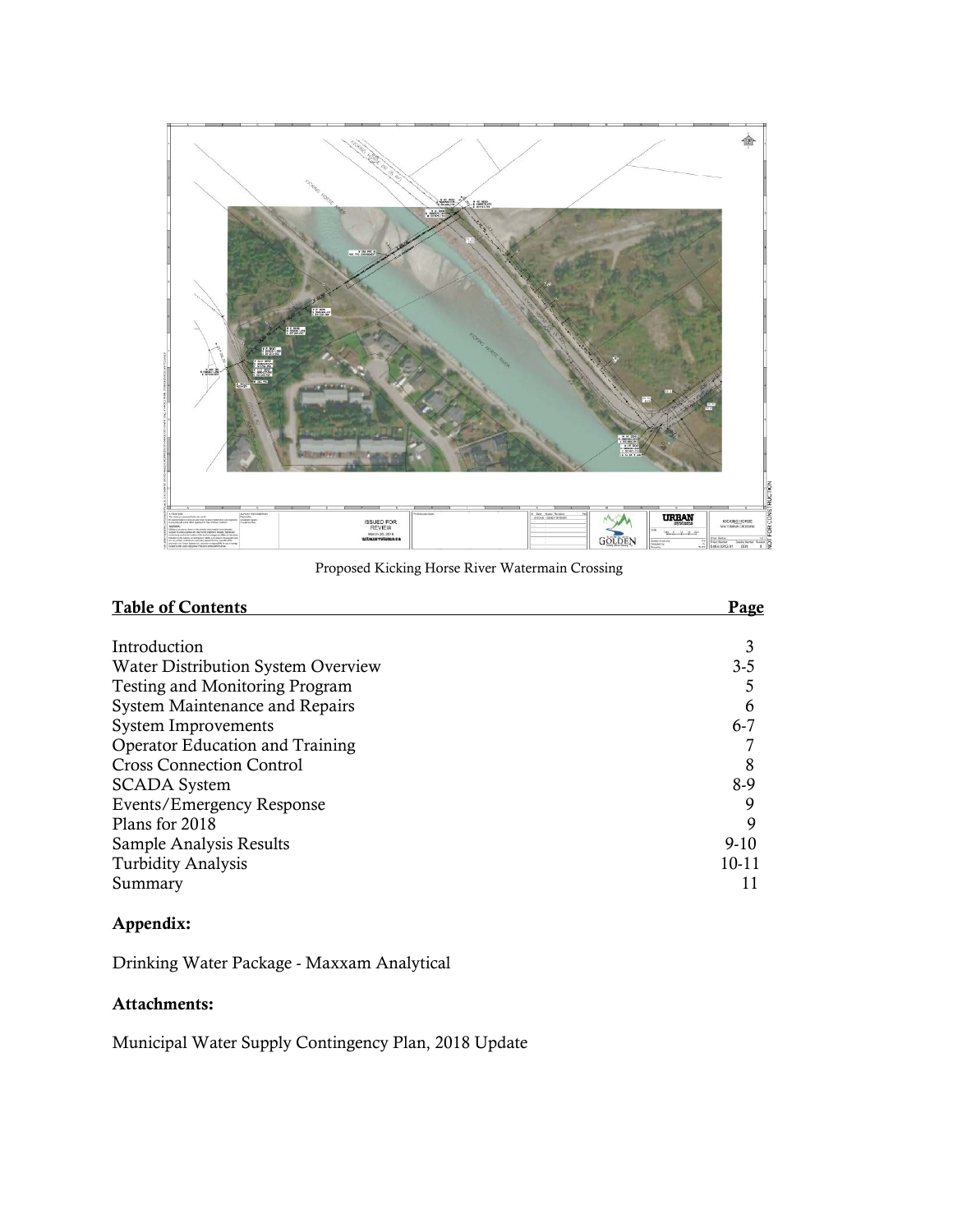

Proposed Kicking Horse River Watermain Crossing

| <b>Table of Contents</b>               | Page      |
|----------------------------------------|-----------|
|                                        |           |
| Introduction                           |           |
| Water Distribution System Overview     | $3 - 5$   |
| <b>Testing and Monitoring Program</b>  |           |
| System Maintenance and Repairs         | 6         |
| <b>System Improvements</b>             | $6 - 7$   |
| <b>Operator Education and Training</b> |           |
| <b>Cross Connection Control</b>        | 8         |
| <b>SCADA</b> System                    | 8-9       |
| Events/Emergency Response              | 9         |
| Plans for 2018                         | 9         |
| Sample Analysis Results                | $9-10$    |
| <b>Turbidity Analysis</b>              | $10 - 11$ |
| Summary                                |           |

## Appendix:

Drinking Water Package - Maxxam Analytical

## Attachments:

Municipal Water Supply Contingency Plan, 2018 Update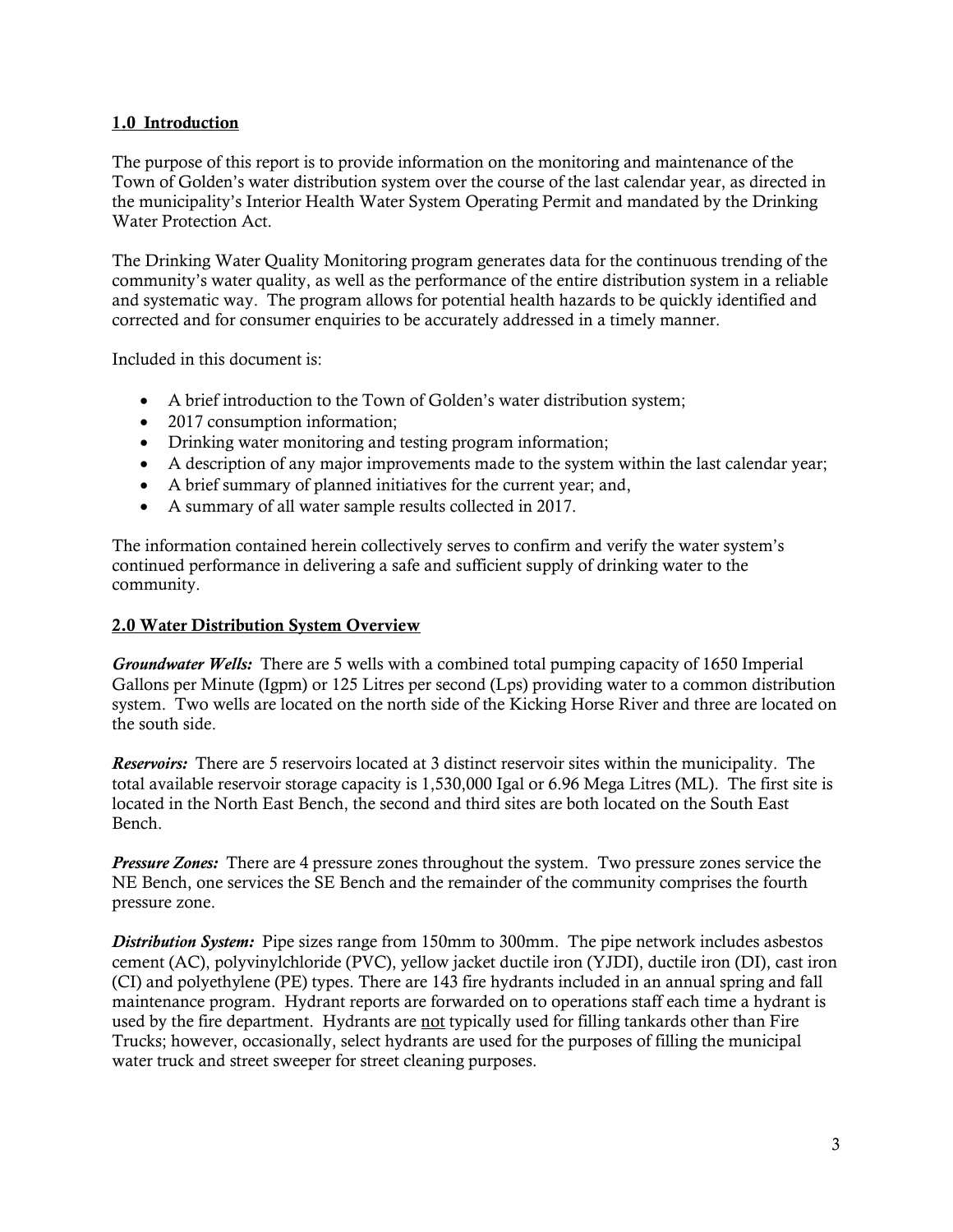#### 1.0 Introduction

The purpose of this report is to provide information on the monitoring and maintenance of the Town of Golden's water distribution system over the course of the last calendar year, as directed in the municipality's Interior Health Water System Operating Permit and mandated by the Drinking Water Protection Act.

The Drinking Water Quality Monitoring program generates data for the continuous trending of the community's water quality, as well as the performance of the entire distribution system in a reliable and systematic way. The program allows for potential health hazards to be quickly identified and corrected and for consumer enquiries to be accurately addressed in a timely manner.

Included in this document is:

- A brief introduction to the Town of Golden's water distribution system;
- 2017 consumption information;
- Drinking water monitoring and testing program information;
- A description of any major improvements made to the system within the last calendar year;
- A brief summary of planned initiatives for the current year; and,
- A summary of all water sample results collected in 2017.

The information contained herein collectively serves to confirm and verify the water system's continued performance in delivering a safe and sufficient supply of drinking water to the community.

#### 2.0 Water Distribution System Overview

*Groundwater Wells:* There are 5 wells with a combined total pumping capacity of 1650 Imperial Gallons per Minute (Igpm) or 125 Litres per second (Lps) providing water to a common distribution system. Two wells are located on the north side of the Kicking Horse River and three are located on the south side.

*Reservoirs:* There are 5 reservoirs located at 3 distinct reservoir sites within the municipality. The total available reservoir storage capacity is 1,530,000 Igal or 6.96 Mega Litres (ML). The first site is located in the North East Bench, the second and third sites are both located on the South East Bench.

*Pressure Zones:* There are 4 pressure zones throughout the system. Two pressure zones service the NE Bench, one services the SE Bench and the remainder of the community comprises the fourth pressure zone.

*Distribution System:* Pipe sizes range from 150mm to 300mm. The pipe network includes asbestos cement (AC), polyvinylchloride (PVC), yellow jacket ductile iron (YJDI), ductile iron (DI), cast iron (CI) and polyethylene (PE) types. There are 143 fire hydrants included in an annual spring and fall maintenance program. Hydrant reports are forwarded on to operations staff each time a hydrant is used by the fire department. Hydrants are not typically used for filling tankards other than Fire Trucks; however, occasionally, select hydrants are used for the purposes of filling the municipal water truck and street sweeper for street cleaning purposes.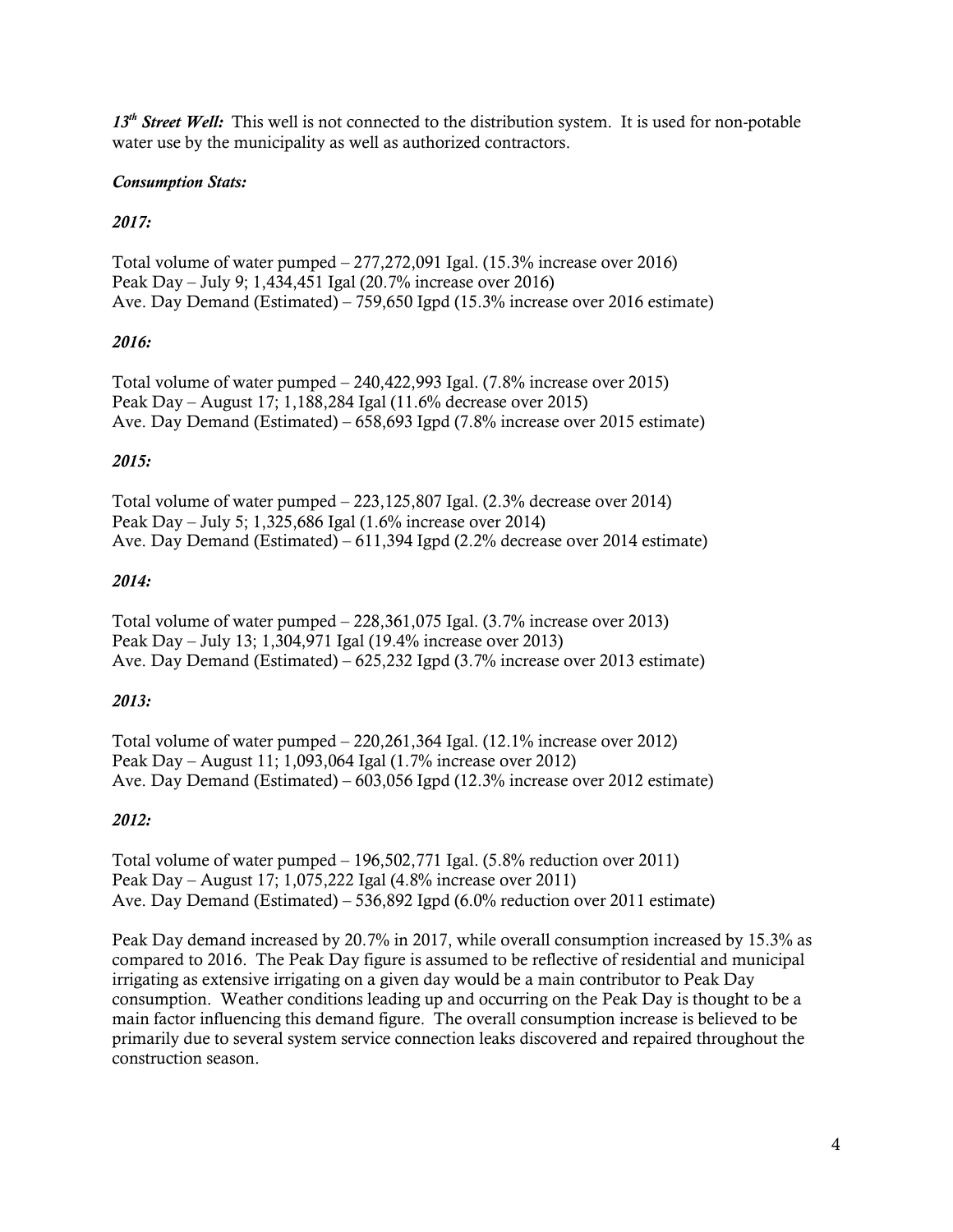*13th Street Well:* This well is not connected to the distribution system. It is used for non-potable water use by the municipality as well as authorized contractors.

## *Consumption Stats:*

## *2017:*

Total volume of water pumped – 277,272,091 Igal. (15.3% increase over 2016) Peak Day – July 9; 1,434,451 Igal (20.7% increase over 2016) Ave. Day Demand (Estimated) – 759,650 Igpd (15.3% increase over 2016 estimate)

## *2016:*

Total volume of water pumped – 240,422,993 Igal. (7.8% increase over 2015) Peak Day – August 17; 1,188,284 Igal (11.6% decrease over 2015) Ave. Day Demand (Estimated) – 658,693 Igpd (7.8% increase over 2015 estimate)

## *2015:*

Total volume of water pumped – 223,125,807 Igal. (2.3% decrease over 2014) Peak Day – July 5; 1,325,686 Igal (1.6% increase over 2014) Ave. Day Demand (Estimated) – 611,394 Igpd (2.2% decrease over 2014 estimate)

#### *2014:*

Total volume of water pumped – 228,361,075 Igal. (3.7% increase over 2013) Peak Day – July 13; 1,304,971 Igal (19.4% increase over 2013) Ave. Day Demand (Estimated) – 625,232 Igpd (3.7% increase over 2013 estimate)

#### *2013:*

Total volume of water pumped – 220,261,364 Igal. (12.1% increase over 2012) Peak Day – August 11; 1,093,064 Igal (1.7% increase over 2012) Ave. Day Demand (Estimated) – 603,056 Igpd (12.3% increase over 2012 estimate)

#### *2012:*

Total volume of water pumped – 196,502,771 Igal. (5.8% reduction over 2011) Peak Day – August 17; 1,075,222 Igal (4.8% increase over 2011) Ave. Day Demand (Estimated) – 536,892 Igpd (6.0% reduction over 2011 estimate)

Peak Day demand increased by 20.7% in 2017, while overall consumption increased by 15.3% as compared to 2016. The Peak Day figure is assumed to be reflective of residential and municipal irrigating as extensive irrigating on a given day would be a main contributor to Peak Day consumption. Weather conditions leading up and occurring on the Peak Day is thought to be a main factor influencing this demand figure. The overall consumption increase is believed to be primarily due to several system service connection leaks discovered and repaired throughout the construction season.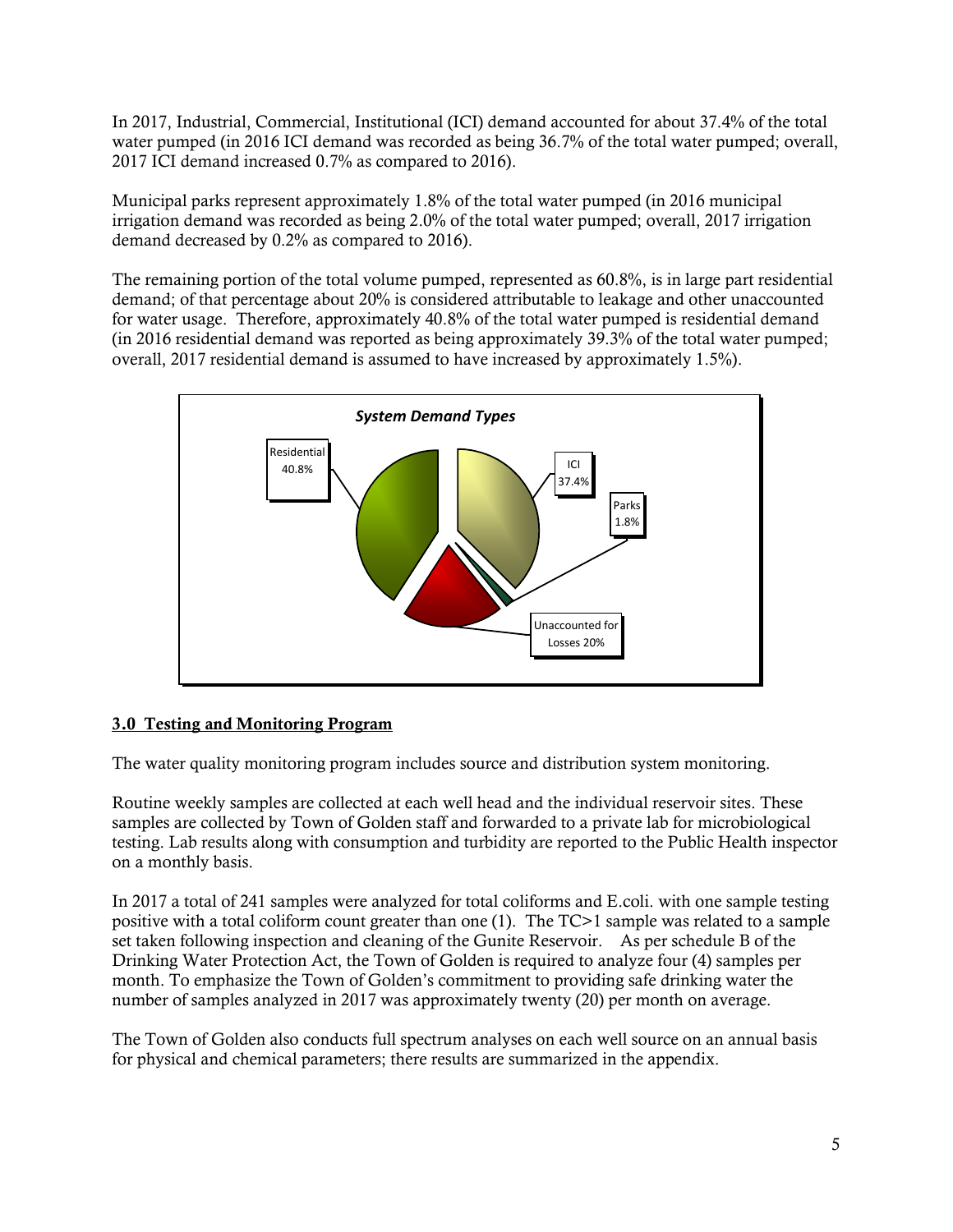In 2017, Industrial, Commercial, Institutional (ICI) demand accounted for about 37.4% of the total water pumped (in 2016 ICI demand was recorded as being 36.7% of the total water pumped; overall, 2017 ICI demand increased 0.7% as compared to 2016).

Municipal parks represent approximately 1.8% of the total water pumped (in 2016 municipal irrigation demand was recorded as being 2.0% of the total water pumped; overall, 2017 irrigation demand decreased by 0.2% as compared to 2016).

The remaining portion of the total volume pumped, represented as 60.8%, is in large part residential demand; of that percentage about 20% is considered attributable to leakage and other unaccounted for water usage. Therefore, approximately 40.8% of the total water pumped is residential demand (in 2016 residential demand was reported as being approximately 39.3% of the total water pumped; overall, 2017 residential demand is assumed to have increased by approximately 1.5%).



## 3.0 Testing and Monitoring Program

The water quality monitoring program includes source and distribution system monitoring.

Routine weekly samples are collected at each well head and the individual reservoir sites. These samples are collected by Town of Golden staff and forwarded to a private lab for microbiological testing. Lab results along with consumption and turbidity are reported to the Public Health inspector on a monthly basis.

In 2017 a total of 241 samples were analyzed for total coliforms and E.coli. with one sample testing positive with a total coliform count greater than one (1). The TC>1 sample was related to a sample set taken following inspection and cleaning of the Gunite Reservoir. As per schedule B of the Drinking Water Protection Act, the Town of Golden is required to analyze four (4) samples per month. To emphasize the Town of Golden's commitment to providing safe drinking water the number of samples analyzed in 2017 was approximately twenty (20) per month on average.

The Town of Golden also conducts full spectrum analyses on each well source on an annual basis for physical and chemical parameters; there results are summarized in the appendix.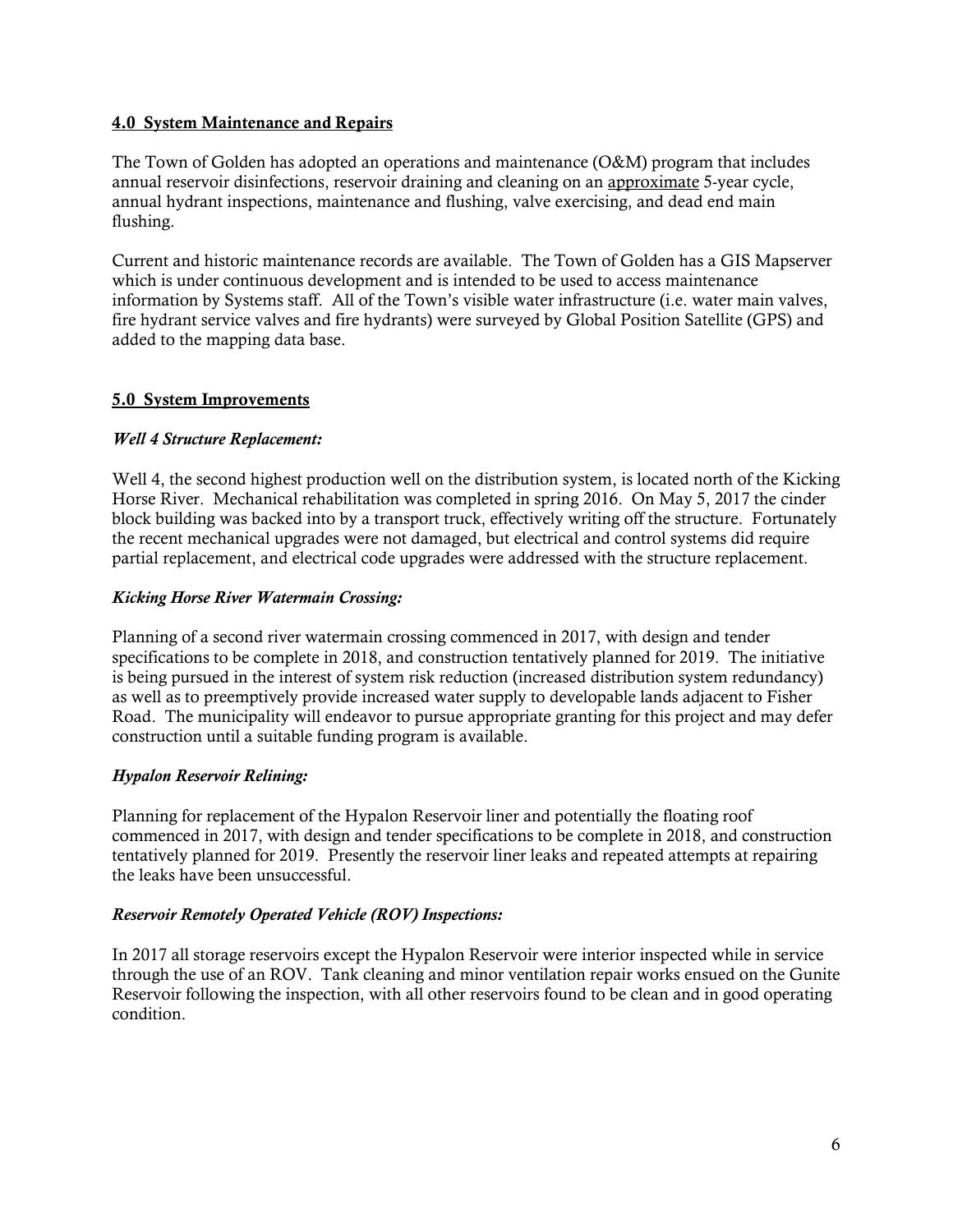#### 4.0 System Maintenance and Repairs

The Town of Golden has adopted an operations and maintenance (O&M) program that includes annual reservoir disinfections, reservoir draining and cleaning on an approximate 5-year cycle, annual hydrant inspections, maintenance and flushing, valve exercising, and dead end main flushing.

Current and historic maintenance records are available. The Town of Golden has a GIS Mapserver which is under continuous development and is intended to be used to access maintenance information by Systems staff. All of the Town's visible water infrastructure (i.e. water main valves, fire hydrant service valves and fire hydrants) were surveyed by Global Position Satellite (GPS) and added to the mapping data base.

#### 5.0 System Improvements

#### *Well 4 Structure Replacement:*

Well 4, the second highest production well on the distribution system, is located north of the Kicking Horse River. Mechanical rehabilitation was completed in spring 2016. On May 5, 2017 the cinder block building was backed into by a transport truck, effectively writing off the structure. Fortunately the recent mechanical upgrades were not damaged, but electrical and control systems did require partial replacement, and electrical code upgrades were addressed with the structure replacement.

#### *Kicking Horse River Watermain Crossing:*

Planning of a second river watermain crossing commenced in 2017, with design and tender specifications to be complete in 2018, and construction tentatively planned for 2019. The initiative is being pursued in the interest of system risk reduction (increased distribution system redundancy) as well as to preemptively provide increased water supply to developable lands adjacent to Fisher Road. The municipality will endeavor to pursue appropriate granting for this project and may defer construction until a suitable funding program is available.

#### *Hypalon Reservoir Relining:*

Planning for replacement of the Hypalon Reservoir liner and potentially the floating roof commenced in 2017, with design and tender specifications to be complete in 2018, and construction tentatively planned for 2019. Presently the reservoir liner leaks and repeated attempts at repairing the leaks have been unsuccessful.

#### *Reservoir Remotely Operated Vehicle (ROV) Inspections:*

In 2017 all storage reservoirs except the Hypalon Reservoir were interior inspected while in service through the use of an ROV. Tank cleaning and minor ventilation repair works ensued on the Gunite Reservoir following the inspection, with all other reservoirs found to be clean and in good operating condition.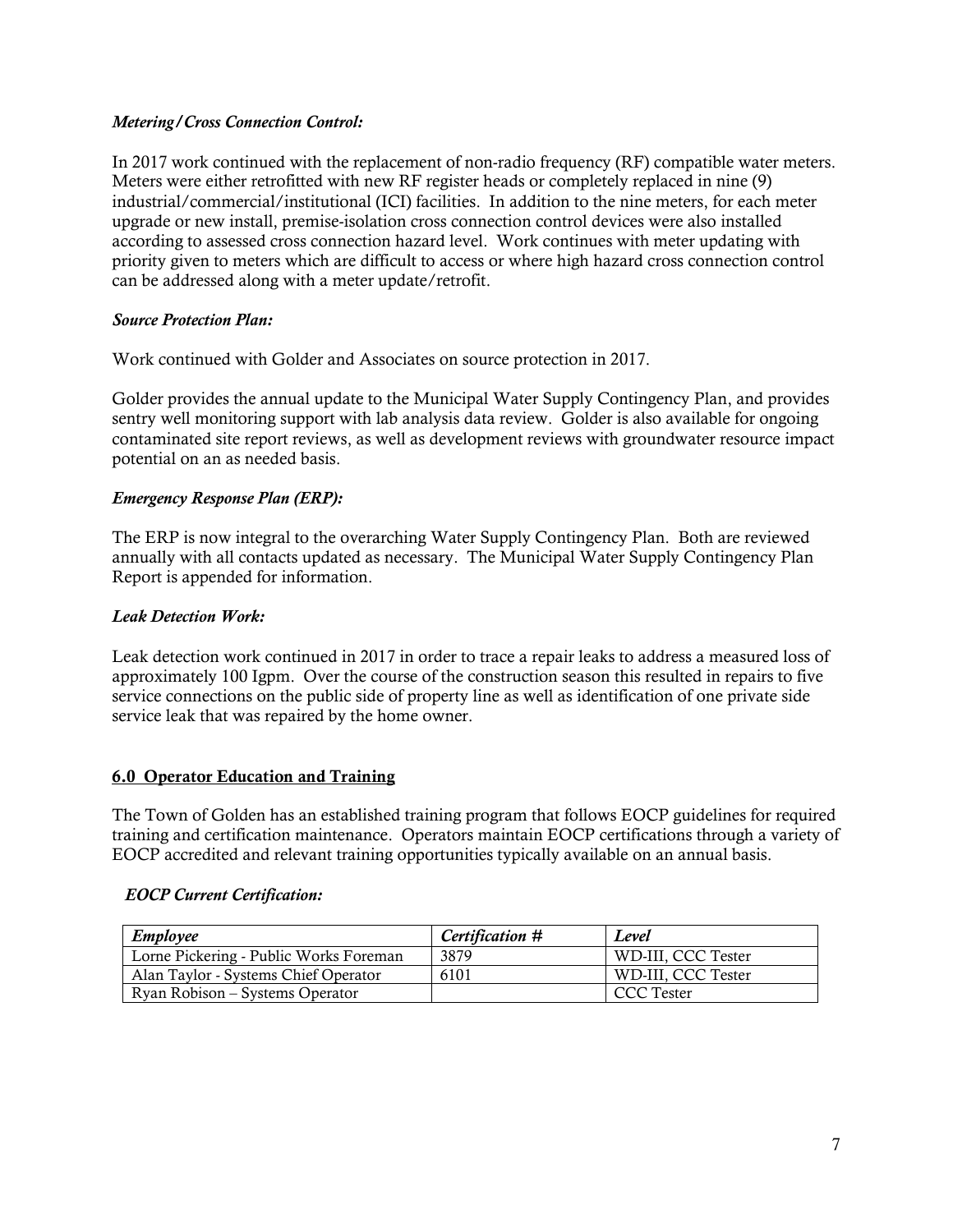#### *Metering/Cross Connection Control:*

In 2017 work continued with the replacement of non-radio frequency (RF) compatible water meters. Meters were either retrofitted with new RF register heads or completely replaced in nine (9) industrial/commercial/institutional (ICI) facilities. In addition to the nine meters, for each meter upgrade or new install, premise-isolation cross connection control devices were also installed according to assessed cross connection hazard level. Work continues with meter updating with priority given to meters which are difficult to access or where high hazard cross connection control can be addressed along with a meter update/retrofit.

#### *Source Protection Plan:*

Work continued with Golder and Associates on source protection in 2017.

Golder provides the annual update to the Municipal Water Supply Contingency Plan, and provides sentry well monitoring support with lab analysis data review. Golder is also available for ongoing contaminated site report reviews, as well as development reviews with groundwater resource impact potential on an as needed basis.

#### *Emergency Response Plan (ERP):*

The ERP is now integral to the overarching Water Supply Contingency Plan. Both are reviewed annually with all contacts updated as necessary. The Municipal Water Supply Contingency Plan Report is appended for information.

#### *Leak Detection Work:*

Leak detection work continued in 2017 in order to trace a repair leaks to address a measured loss of approximately 100 Igpm. Over the course of the construction season this resulted in repairs to five service connections on the public side of property line as well as identification of one private side service leak that was repaired by the home owner.

#### 6.0 Operator Education and Training

The Town of Golden has an established training program that follows EOCP guidelines for required training and certification maintenance. Operators maintain EOCP certifications through a variety of EOCP accredited and relevant training opportunities typically available on an annual basis.

#### *EOCP Current Certification:*

| Employee                               | Certification # | Level              |
|----------------------------------------|-----------------|--------------------|
| Lorne Pickering - Public Works Foreman | 3879            | WD-III, CCC Tester |
| Alan Taylor - Systems Chief Operator   | 6101            | WD-III. CCC Tester |
| Ryan Robison – Systems Operator        |                 | CCC Tester         |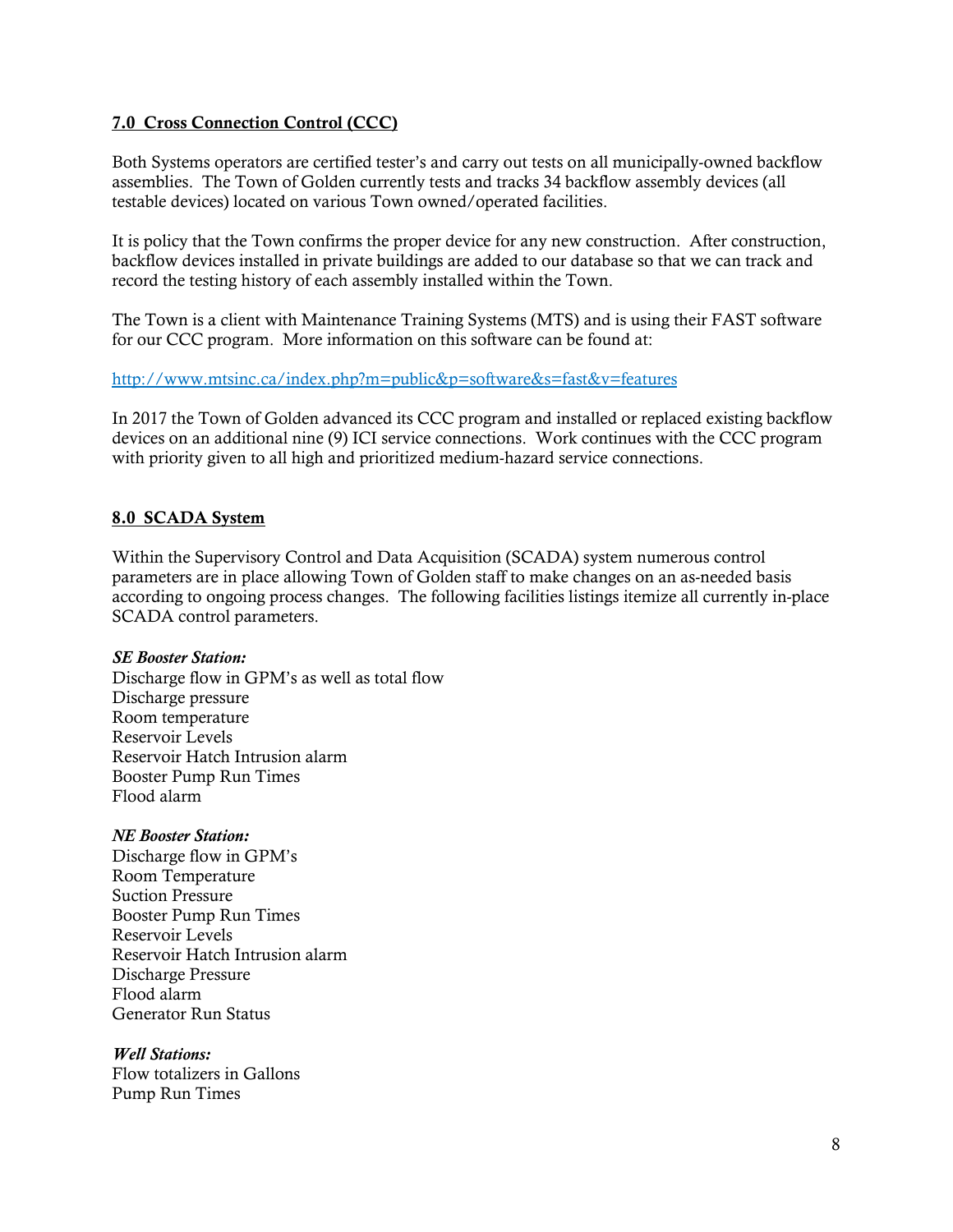#### 7.0 Cross Connection Control (CCC)

Both Systems operators are certified tester's and carry out tests on all municipally-owned backflow assemblies. The Town of Golden currently tests and tracks 34 backflow assembly devices (all testable devices) located on various Town owned/operated facilities.

It is policy that the Town confirms the proper device for any new construction. After construction, backflow devices installed in private buildings are added to our database so that we can track and record the testing history of each assembly installed within the Town.

The Town is a client with Maintenance Training Systems (MTS) and is using their FAST software for our CCC program. More information on this software can be found at:

#### <http://www.mtsinc.ca/index.php?m=public&p=software&s=fast&v=features>

In 2017 the Town of Golden advanced its CCC program and installed or replaced existing backflow devices on an additional nine (9) ICI service connections. Work continues with the CCC program with priority given to all high and prioritized medium-hazard service connections.

#### 8.0 SCADA System

Within the Supervisory Control and Data Acquisition (SCADA) system numerous control parameters are in place allowing Town of Golden staff to make changes on an as-needed basis according to ongoing process changes. The following facilities listings itemize all currently in-place SCADA control parameters.

#### *SE Booster Station:*

Discharge flow in GPM's as well as total flow Discharge pressure Room temperature Reservoir Levels Reservoir Hatch Intrusion alarm Booster Pump Run Times Flood alarm

#### *NE Booster Station:*

Discharge flow in GPM's Room Temperature Suction Pressure Booster Pump Run Times Reservoir Levels Reservoir Hatch Intrusion alarm Discharge Pressure Flood alarm Generator Run Status

#### *Well Stations:*

Flow totalizers in Gallons Pump Run Times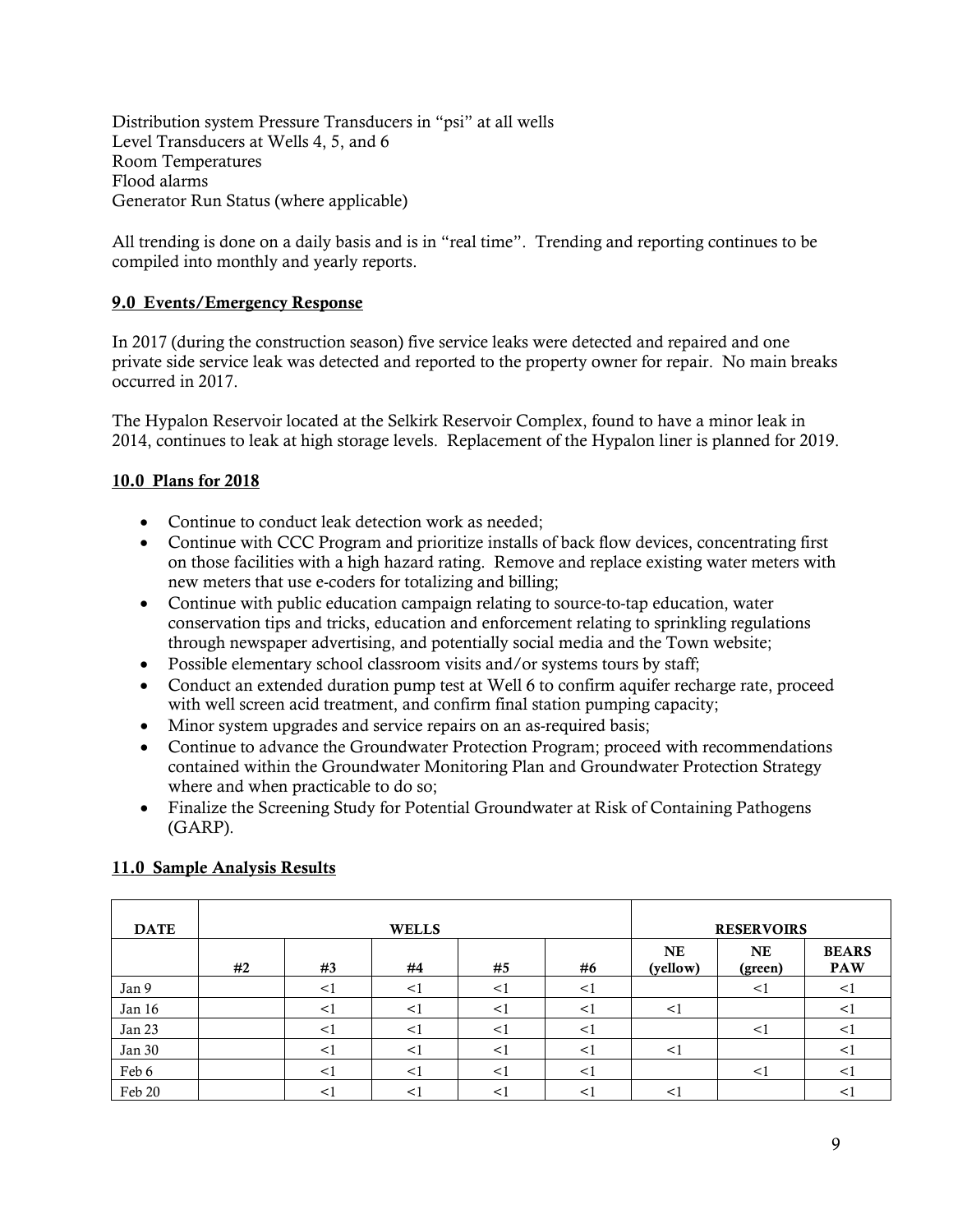Distribution system Pressure Transducers in "psi" at all wells Level Transducers at Wells 4, 5, and 6 Room Temperatures Flood alarms Generator Run Status (where applicable)

All trending is done on a daily basis and is in "real time". Trending and reporting continues to be compiled into monthly and yearly reports.

## 9.0 Events/Emergency Response

In 2017 (during the construction season) five service leaks were detected and repaired and one private side service leak was detected and reported to the property owner for repair. No main breaks occurred in 2017.

The Hypalon Reservoir located at the Selkirk Reservoir Complex, found to have a minor leak in 2014, continues to leak at high storage levels. Replacement of the Hypalon liner is planned for 2019.

## 10.0 Plans for 2018

- Continue to conduct leak detection work as needed;
- Continue with CCC Program and prioritize installs of back flow devices, concentrating first on those facilities with a high hazard rating. Remove and replace existing water meters with new meters that use e-coders for totalizing and billing;
- Continue with public education campaign relating to source-to-tap education, water conservation tips and tricks, education and enforcement relating to sprinkling regulations through newspaper advertising, and potentially social media and the Town website;
- Possible elementary school classroom visits and/or systems tours by staff;
- Conduct an extended duration pump test at Well 6 to confirm aquifer recharge rate, proceed with well screen acid treatment, and confirm final station pumping capacity;
- Minor system upgrades and service repairs on an as-required basis;
- Continue to advance the Groundwater Protection Program; proceed with recommendations contained within the Groundwater Monitoring Plan and Groundwater Protection Strategy where and when practicable to do so;
- Finalize the Screening Study for Potential Groundwater at Risk of Containing Pathogens (GARP).

| <b>DATE</b> |    |          | <b>WELLS</b> |        |          |                       | <b>RESERVOIRS</b>    |                            |
|-------------|----|----------|--------------|--------|----------|-----------------------|----------------------|----------------------------|
|             | #2 | #3       | #4           | #5     | #6       | <b>NE</b><br>(yellow) | <b>NE</b><br>(green) | <b>BEARS</b><br><b>PAW</b> |
| Jan 9       |    | $\leq$   | $\leq$ 1     | $<$ 1  | $\leq$ 1 |                       | $\leq$               | $\leq$                     |
| Jan 16      |    | $\leq$   |              | $<$ 1  | < ا      | $\leq$                |                      | $\,<\,$                    |
| Jan 23      |    | ◁        |              | <1     | < ا      |                       | $\leq$               | $\lt$                      |
| Jan 30      |    | $\leq$ 1 | $\leq$ 1     | $\leq$ | < ∣      | $\leq$ 1              |                      | $\leq$                     |
| Feb 6       |    | $\leq$   | < ا          | $\lt'$ | < ।      |                       | $\leq$               | $\leq$                     |
| Feb 20      |    |          |              |        |          | ◁                     |                      | $\leq$                     |

## 11.0 Sample Analysis Results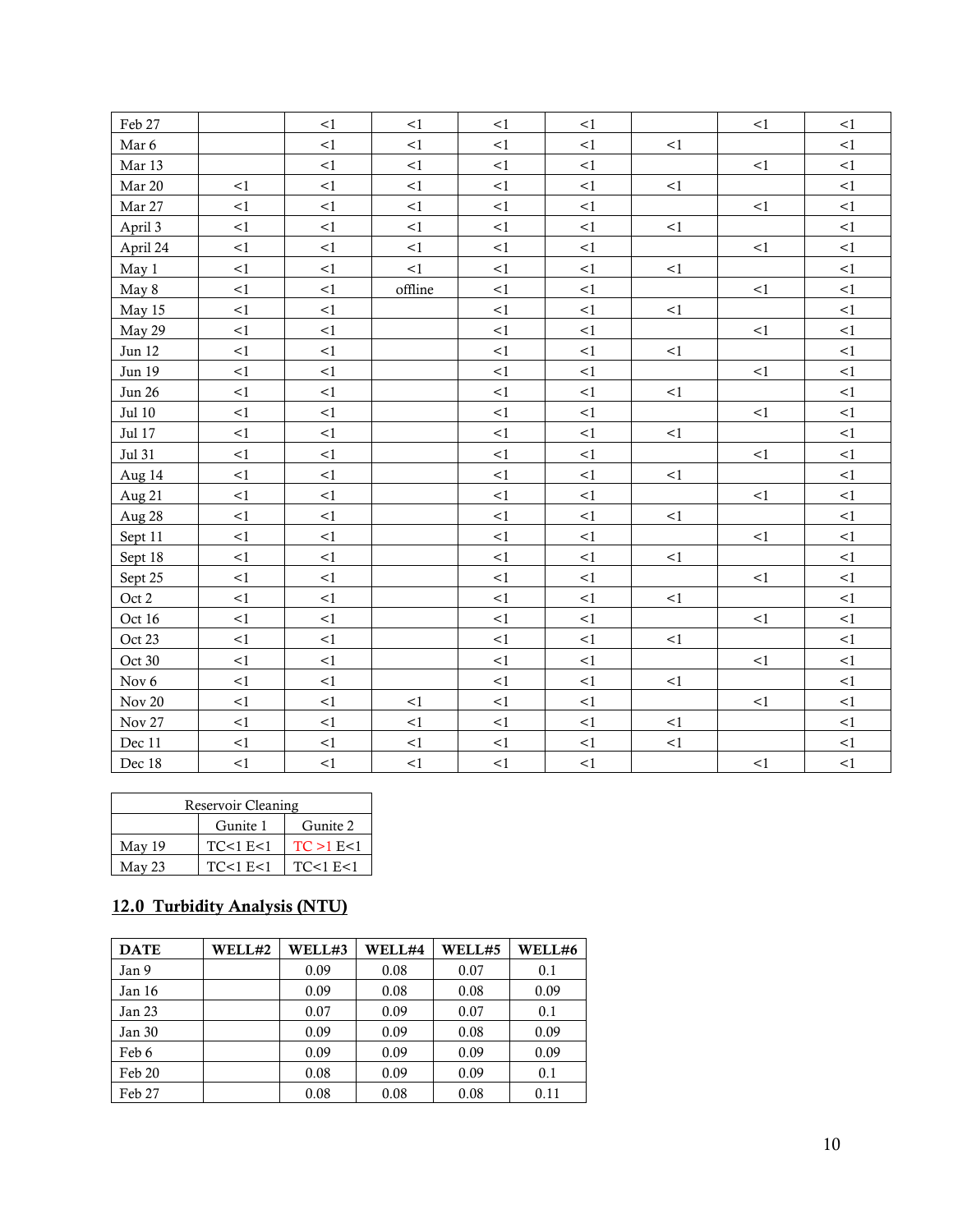| Feb 27          |          | <1       | <1      | <1       | <1       |        | <1       | <1     |
|-----------------|----------|----------|---------|----------|----------|--------|----------|--------|
| Mar 6           |          | $<\!1$   | $<\!1$  | $<\!1$   | $<\!1$   | $<\!1$ |          | $<\!1$ |
| Mar 13          |          | <1       | <1      | $<\!1$   | <1       |        | <1       | <1     |
| Mar 20          | <1       | $<\!1$   | <1      | <1       | <1       | <1     |          | <1     |
| Mar 27          | $\leq$ 1 | $\leq$ 1 | <1      | ${<}1\,$ | $<\!1$   |        | $<\!1$   | $<1\,$ |
| April 3         | <1       | <1       | <1      | ${<}1$   | <1       | <1     |          | <1     |
| April 24        | $<\!1$   | $<\!1$   | <1      | <1       | $<\!1$   |        | <1       | <1     |
| May 1           | $<\!1$   | $\leq$ 1 | <1      | ${<}1\,$ | $<\!1$   | <1     |          | <1     |
| May 8           | $<\!1$   | <1       | offline | <1       | ${<}1\,$ |        | <1       | <1     |
| May 15          | $<\!1$   | $<\!1$   |         | ${<}1$   | $<\!1$   | ${<}1$ |          | $<1\,$ |
| May 29          | $\leq$ 1 | <1       |         | $<\!1$   | <1       |        | <1       | <1     |
| Jun 12          | $<\!1$   | <1       |         | <1       | ${<}1$   | ${<}1$ |          | <1     |
| Jun 19          | $<\!1$   | $<\!1$   |         | ${<}1\,$ | ${<}1\,$ |        | <1       | <1     |
| <b>Jun 26</b>   | <1       | <1       |         | ${<}1$   | $<\!1$   | <1     |          | <1     |
| $\rm{Jul}$ $10$ | <1       | $<\!1$   |         | <1       | $<\!1$   |        | <1       | <1     |
| Jul 17          | $<\!1$   | $<\!1$   |         | <1       | $<\!1$   | <1     |          | <1     |
| Jul 31          | <1       | <1       |         | $<\!1$   | <1       |        | <1       | <1     |
| Aug 14          | $<\!1$   | $\leq$ 1 |         | ${<}1\,$ | <1       | $<\!1$ |          | $<1\,$ |
| Aug 21          | <1       | <1       |         | <1       | <1       |        | <1       | <1     |
| Aug 28          | $<\!1$   | $<\!1$   |         | ${<}1$   | <1       | <1     |          | <1     |
| Sept 11         | $\leq$ 1 | $\leq$ 1 |         | ${<}1$   | $<\!1$   |        | <1       | $<\!1$ |
| Sept 18         | $<\!1$   | <1       |         | ${<}1$   | ${<}1$   | <1     |          | <1     |
| Sept 25         | $\leq$ 1 | $\leq$ 1 |         | ${<}1$   | <1       |        | $\leq$ 1 | $<\!1$ |
| Oct 2           | $<1\,$   | <1       |         | ${<}1$   | $<\!1$   | $<\!1$ |          | <1     |
| Oct 16          | $<\!1$   | <1       |         | <1       | <1       |        | <1       | <1     |
| Oct 23          | $<\!1$   | $<\!1$   |         | ${<}1\,$ | $<\!1$   | ${<}1$ |          | $<1\,$ |
| Oct 30          | <1       | <1       |         | <1       | <1       |        | <1       | <1     |
| Nov 6           | ${<}1$   | <1       |         | ${<}1$   | ${<}1$   | <1     |          | <1     |
| $\rm Nov\ 20$   | $<1\,$   | $\leq$ 1 | <1      | ${<}1$   | ${<}1\,$ |        | <1       | <1     |
| Nov 27          | $\leq$ 1 | <1       | <1      | $<\!1$   | <1       | <1     |          | <1     |
| Dec 11          | $<\!1$   | $<\!1$   | <1      | <1       | $<\!1$   | $<\!1$ |          | $<\!1$ |
| Dec 18          | $<\!1$   | $<\!1$   | $<\!1$  | $<\!1$   | $<\!1$   |        | $<\!1$   | $<\!1$ |

|        | Reservoir Cleaning |              |
|--------|--------------------|--------------|
|        | Gunite 1           | Gunite 2     |
| May 19 | TC<1 E<1           | TC > 1 E < 1 |
| May 23 | TC<1 E<1           | TC<1 E<1     |

# 12.0 Turbidity Analysis (NTU)

| <b>DATE</b> | WELL#2 | WELL#3 | WELL#4 | WELL#5 | WELL#6 |
|-------------|--------|--------|--------|--------|--------|
| Jan 9       |        | 0.09   | 0.08   | 0.07   | 0.1    |
| Jan 16      |        | 0.09   | 0.08   | 0.08   | 0.09   |
| Jan 23      |        | 0.07   | 0.09   | 0.07   | 0.1    |
| Jan 30      |        | 0.09   | 0.09   | 0.08   | 0.09   |
| Feb 6       |        | 0.09   | 0.09   | 0.09   | 0.09   |
| Feb 20      |        | 0.08   | 0.09   | 0.09   | 0.1    |
| Feb 27      |        | 0.08   | 0.08   | 0.08   | 0.11   |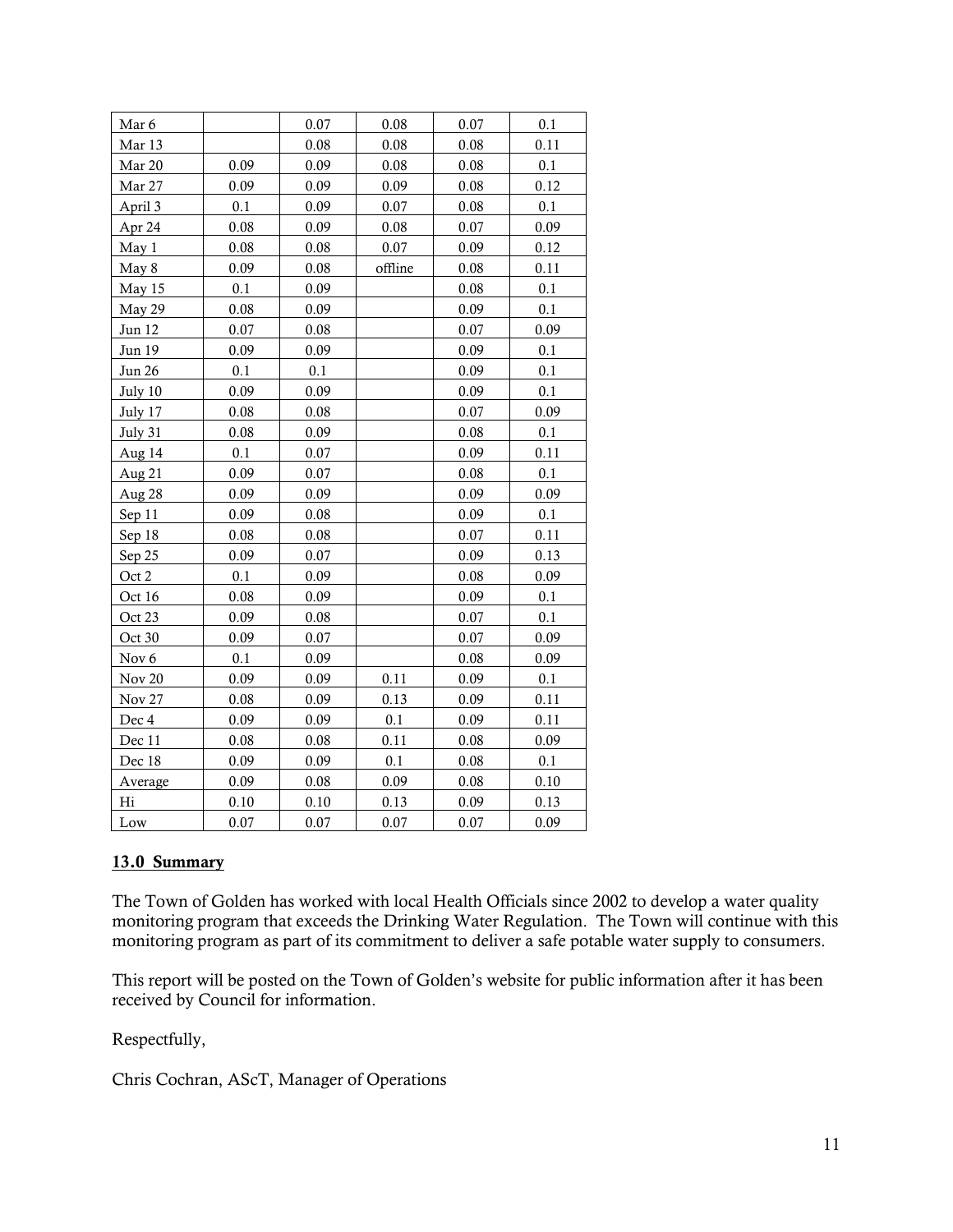| Mar 6         |          | 0.07 | 0.08    | 0.07 | 0.1     |
|---------------|----------|------|---------|------|---------|
| Mar 13        |          | 0.08 | 0.08    | 0.08 | 0.11    |
| Mar 20        | 0.09     | 0.09 | 0.08    | 0.08 | 0.1     |
| Mar 27        | 0.09     | 0.09 | 0.09    | 0.08 | 0.12    |
| April 3       | 0.1      | 0.09 | 0.07    | 0.08 | 0.1     |
| Apr 24        | 0.08     | 0.09 | 0.08    | 0.07 | 0.09    |
| May 1         | 0.08     | 0.08 | 0.07    | 0.09 | 0.12    |
| May 8         | 0.09     | 0.08 | offline | 0.08 | 0.11    |
| May 15        | 0.1      | 0.09 |         | 0.08 | 0.1     |
| May 29        | 0.08     | 0.09 |         | 0.09 | 0.1     |
| Jun 12        | 0.07     | 0.08 |         | 0.07 | 0.09    |
| Jun 19        | 0.09     | 0.09 |         | 0.09 | 0.1     |
| <b>Jun 26</b> | 0.1      | 0.1  |         | 0.09 | $0.1\,$ |
| July 10       | 0.09     | 0.09 |         | 0.09 | 0.1     |
| July 17       | 0.08     | 0.08 |         | 0.07 | 0.09    |
| July 31       | 0.08     | 0.09 |         | 0.08 | 0.1     |
| Aug 14        | 0.1      | 0.07 |         | 0.09 | 0.11    |
| Aug 21        | 0.09     | 0.07 |         | 0.08 | 0.1     |
| Aug 28        | 0.09     | 0.09 |         | 0.09 | 0.09    |
| Sep 11        | 0.09     | 0.08 |         | 0.09 | 0.1     |
| Sep 18        | 0.08     | 0.08 |         | 0.07 | 0.11    |
| Sep 25        | 0.09     | 0.07 |         | 0.09 | 0.13    |
| Oct 2         | 0.1      | 0.09 |         | 0.08 | 0.09    |
| Oct 16        | 0.08     | 0.09 |         | 0.09 | 0.1     |
| Oct 23        | 0.09     | 0.08 |         | 0.07 | 0.1     |
| Oct 30        | 0.09     | 0.07 |         | 0.07 | 0.09    |
| Nov 6         | 0.1      | 0.09 |         | 0.08 | 0.09    |
| <b>Nov 20</b> | 0.09     | 0.09 | 0.11    | 0.09 | 0.1     |
| Nov 27        | 0.08     | 0.09 | 0.13    | 0.09 | 0.11    |
| Dec 4         | 0.09     | 0.09 | 0.1     | 0.09 | 0.11    |
| Dec 11        | 0.08     | 0.08 | 0.11    | 0.08 | 0.09    |
| Dec 18        | 0.09     | 0.09 | 0.1     | 0.08 | 0.1     |
| Average       | 0.09     | 0.08 | 0.09    | 0.08 | 0.10    |
| Hi            | $0.10\,$ | 0.10 | 0.13    | 0.09 | 0.13    |
| Low           | 0.07     | 0.07 | 0.07    | 0.07 | 0.09    |

#### 13.0 Summary

The Town of Golden has worked with local Health Officials since 2002 to develop a water quality monitoring program that exceeds the Drinking Water Regulation. The Town will continue with this monitoring program as part of its commitment to deliver a safe potable water supply to consumers.

This report will be posted on the Town of Golden's website for public information after it has been received by Council for information.

Respectfully,

Chris Cochran, AScT, Manager of Operations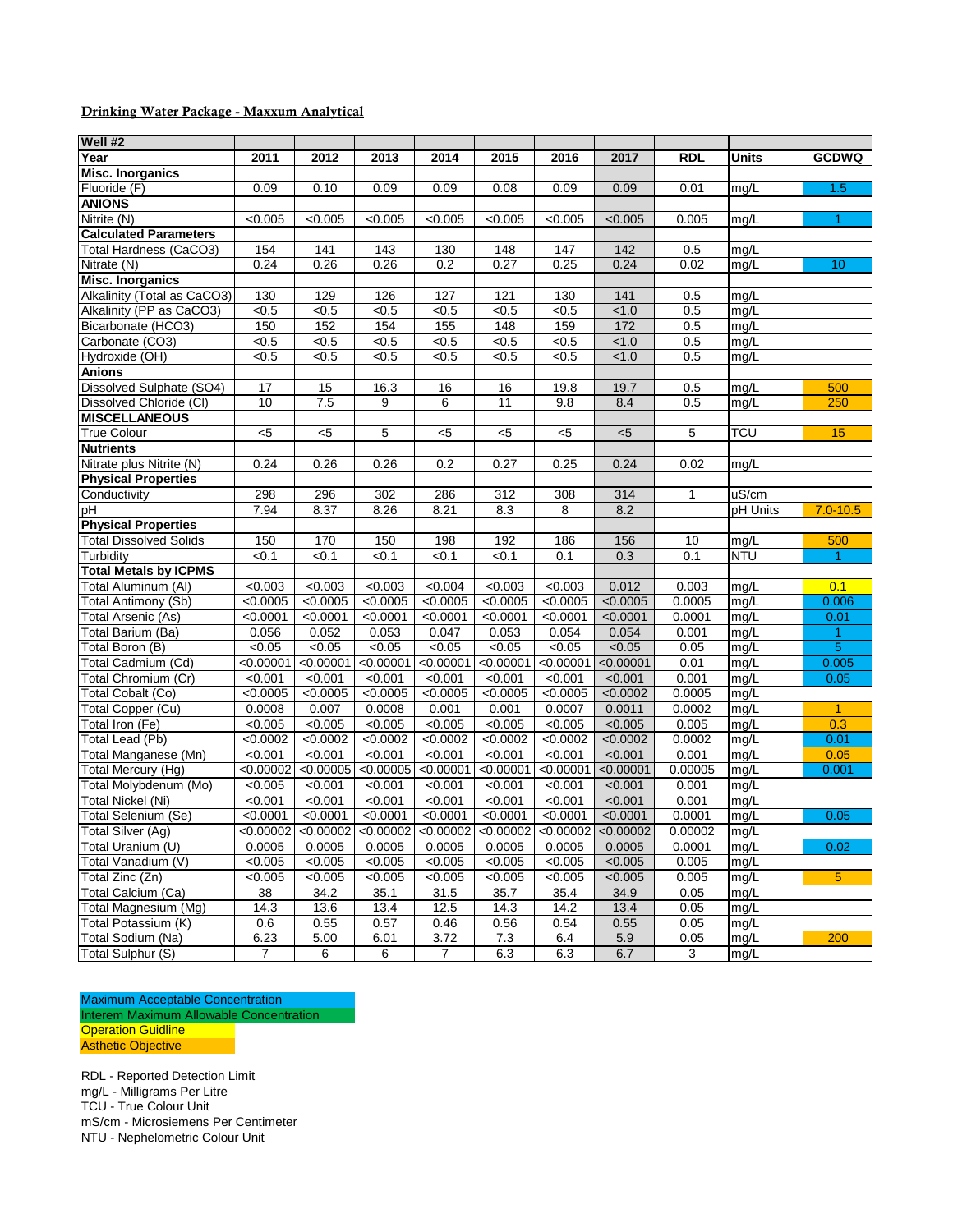#### Drinking Water Package - Maxxum Analytical

| Well #2                                  |                        |           |           |           |              |            |                                                                                                                                                                                                                                       |              |            |                      |
|------------------------------------------|------------------------|-----------|-----------|-----------|--------------|------------|---------------------------------------------------------------------------------------------------------------------------------------------------------------------------------------------------------------------------------------|--------------|------------|----------------------|
| Year                                     | 2011                   | 2012      | 2013      | 2014      | 2015         | 2016       | 2017                                                                                                                                                                                                                                  | <b>RDL</b>   | Units      | <b>GCDWQ</b>         |
| <b>Misc. Inorganics</b>                  |                        |           |           |           |              |            |                                                                                                                                                                                                                                       |              |            |                      |
| Fluoride (F)                             | 0.09                   | 0.10      | 0.09      | 0.09      | 0.08         | 0.09       | 0.09                                                                                                                                                                                                                                  | 0.01         | mg/L       | 1.5                  |
| <b>ANIONS</b>                            |                        |           |           |           |              |            |                                                                                                                                                                                                                                       |              |            |                      |
| Nitrite (N)                              | < 0.005                | < 0.005   | < 0.005   | < 0.005   | < 0.005      | < 0.005    | < 0.005                                                                                                                                                                                                                               | 0.005        | mg/L       | 1                    |
| <b>Calculated Parameters</b>             |                        |           |           |           |              |            |                                                                                                                                                                                                                                       |              |            |                      |
| Total Hardness (CaCO3)                   | 154                    | 141       | 143       | 130       | 148          | 147        | 142                                                                                                                                                                                                                                   | 0.5          | mq/L       |                      |
| Nitrate (N)                              | 0.24                   | 0.26      | 0.26      | 0.2       | 0.27         | 0.25       | 0.24                                                                                                                                                                                                                                  | 0.02         | mg/L       | 10                   |
| <b>Misc. Inorganics</b>                  |                        |           |           |           |              |            |                                                                                                                                                                                                                                       |              |            |                      |
| Alkalinity (Total as CaCO3)              | 130                    | 129       | 126       | 127       | 121          | 130        | 141                                                                                                                                                                                                                                   | 0.5          | mg/L       |                      |
| Alkalinity (PP as CaCO3)                 | < 0.5                  | < 0.5     | < 0.5     | < 0.5     | < 0.5        | < 0.5      | < 1.0                                                                                                                                                                                                                                 | 0.5          | mg/L       |                      |
| Bicarbonate (HCO3)                       | 150                    | 152       | 154       | 155       | 148          | 159        | 172                                                                                                                                                                                                                                   | 0.5          | mg/L       |                      |
| Carbonate (CO3)                          | < 0.5                  | < 0.5     | < 0.5     | < 0.5     | $\sqrt{6.5}$ | < 0.5      | < 1.0                                                                                                                                                                                                                                 | 0.5          | mg/L       |                      |
| Hydroxide (OH)                           | < 0.5                  | < 0.5     | < 0.5     | < 0.5     | < 0.5        | < 0.5      | < 1.0                                                                                                                                                                                                                                 | 0.5          | mg/L       |                      |
| <b>Anions</b>                            |                        |           |           |           |              |            |                                                                                                                                                                                                                                       |              |            |                      |
| Dissolved Sulphate (SO4)                 | 17                     | 15        | 16.3      | 16        | 16           | 19.8       | 19.7                                                                                                                                                                                                                                  | 0.5          | mg/L       | 500                  |
| Dissolved Chloride (CI)                  | 10                     | 7.5       | 9         | 6         | 11           | 9.8        | 8.4                                                                                                                                                                                                                                   | 0.5          | mg/L       | 250                  |
| <b>MISCELLANEOUS</b>                     |                        |           |           |           |              |            |                                                                                                                                                                                                                                       |              |            |                      |
| <b>True Colour</b>                       | $<$ 5                  | $<$ 5     | 5         | $<$ 5     | $5$          | $<$ 5      | < 5                                                                                                                                                                                                                                   | 5            | <b>TCU</b> | 15                   |
| <b>Nutrients</b>                         |                        |           |           |           |              |            |                                                                                                                                                                                                                                       |              |            |                      |
| Nitrate plus Nitrite (N)                 | 0.24                   | 0.26      | 0.26      | 0.2       | 0.27         | 0.25       | 0.24                                                                                                                                                                                                                                  | 0.02         | mg/L       |                      |
| <b>Physical Properties</b>               |                        |           |           |           |              |            |                                                                                                                                                                                                                                       |              |            |                      |
| Conductivity                             | 298                    | 296       | 302       | 286       | 312          | 308        | 314                                                                                                                                                                                                                                   | $\mathbf{1}$ | uS/cm      |                      |
| рH                                       | 7.94                   | 8.37      | 8.26      | 8.21      | 8.3          | 8          | 8.2                                                                                                                                                                                                                                   |              | pH Units   | $7.0 - 10.5$         |
| <b>Physical Properties</b>               |                        |           |           |           |              |            |                                                                                                                                                                                                                                       |              |            |                      |
| <b>Total Dissolved Solids</b>            | 150                    | 170       | 150       | 198       | 192          | 186        | 156                                                                                                                                                                                                                                   | 10           | mg/L       | 500                  |
| Turbidity                                | < 0.1                  | < 0.1     | < 0.1     | < 0.1     | < 0.1        | 0.1        | 0.3                                                                                                                                                                                                                                   | 0.1          | <b>NTU</b> | $\blacktriangleleft$ |
| <b>Total Metals by ICPMS</b>             |                        |           |           |           |              |            |                                                                                                                                                                                                                                       |              |            |                      |
| Total Aluminum (AI)                      | < 0.003                | < 0.003   | < 0.003   | < 0.004   | < 0.003      | < 0.003    | 0.012                                                                                                                                                                                                                                 | 0.003        | mg/L       | 0.1                  |
| Total Antimony (Sb)                      | < 0.0005               | < 0.0005  | < 0.0005  | < 0.0005  | < 0.0005     | < 0.0005   | < 0.0005                                                                                                                                                                                                                              | 0.0005       | mg/L       | 0.006                |
| Total Arsenic (As)                       | < 0.0001               | < 0.0001  | < 0.0001  | < 0.0001  | < 0.0001     | < 0.0001   | < 0.0001                                                                                                                                                                                                                              | 0.0001       | mg/L       | 0.01                 |
| Total Barium (Ba)                        | 0.056                  | 0.052     | 0.053     | 0.047     | 0.053        | 0.054      | 0.054                                                                                                                                                                                                                                 | 0.001        | mg/L       | $\mathbf{1}$         |
| Total Boron (B)                          | < 0.05                 | < 0.05    | < 0.05    | < 0.05    | < 0.05       | < 0.05     | < 0.05                                                                                                                                                                                                                                | 0.05         | mg/L       | $\overline{5}$       |
| Total Cadmium (Cd)                       | < 0.00001              | < 0.00001 | < 0.00001 | < 0.00001 | < 0.00001    | < 0.00001  | < 0.00001                                                                                                                                                                                                                             | 0.01         | mg/L       | 0.005                |
| Total Chromium (Cr)                      | < 0.001                | < 0.001   | < 0.001   | < 0.001   | < 0.001      | < 0.001    | < 0.001                                                                                                                                                                                                                               | 0.001        | mg/L       | 0.05                 |
| Total Cobalt (Co)                        | < 0.0005               | < 0.0005  | < 0.0005  | < 0.0005  | < 0.0005     | < 0.0005   | < 0.0002                                                                                                                                                                                                                              | 0.0005       | mg/L       |                      |
| Total Copper (Cu)                        | 0.0008                 | 0.007     | 0.0008    | 0.001     | 0.001        | 0.0007     | 0.0011                                                                                                                                                                                                                                | 0.0002       | mg/L       | $\mathbf{1}$         |
| Total Iron (Fe)                          | < 0.005                | < 0.005   | < 0.005   | < 0.005   | < 0.005      | < 0.005    | < 0.005                                                                                                                                                                                                                               | 0.005        | mg/L       | 0.3                  |
| Total Lead (Pb)                          | < 0.0002               | < 0.0002  | < 0.0002  | < 0.0002  | < 0.0002     | < 0.0002   | < 0.0002                                                                                                                                                                                                                              | 0.0002       | mg/L       | 0.01                 |
| Total Manganese (Mn)                     | < 0.001                | < 0.001   | < 0.001   | < 0.001   | < 0.001      | < 0.001    | < 0.001                                                                                                                                                                                                                               | 0.001        | mg/L       | 0.05                 |
| Total Mercury (Hg)                       | < 0.00002              | < 0.00005 | < 0.00005 | < 0.00001 | < 0.00001    | < 0.00001  | < 0.00001                                                                                                                                                                                                                             | 0.00005      | mg/L       | 0.001                |
| Total Molybdenum (Mo)                    | $\frac{1}{0.005}$      | < 0.001   | < 0.001   | < 0.001   | < 0.001      | < 0.001    | < 0.001                                                                                                                                                                                                                               | 0.001        | mg/L       |                      |
| <b>Total Nickel (Ni)</b>                 | < 0.001                | < 0.001   | < 0.001   | < 0.001   | < 0.001      | < 0.001    | < 0.001                                                                                                                                                                                                                               | 0.001        | mg/L       |                      |
| Total Selenium (Se)                      | < 0.0001               | < 0.0001  | < 0.0001  | < 0.0001  | < 0.0001     | < 0.0001   | < 0.0001                                                                                                                                                                                                                              | 0.0001       | mg/L       | 0.05                 |
| <b>Total Silver (Ag)</b>                 |                        |           |           |           |              |            | $\left  0.00002 \right $ <0.00002 <0.00002 <0.00002 <0.00002 <0.00002 <0.00002 <0.00002 <0.00002 <0.00002 <0.00002 <0.00002 <0.00002 <0.00002 <0.00002 <0.00002 <0.00002 <0.00002 <0.00002 <0.00002 <0.00002 <0.00002 <0.00002 <0.000 | 0.00002      | mg/L       |                      |
| Total Uranium (U)                        | 0.0005                 | 0.0005    | 0.0005    | 0.0005    | 0.0005       | 0.0005     | 0.0005                                                                                                                                                                                                                                | 0.0001       | mg/L       | 0.02                 |
| Total Vanadium (V)                       | < 0.005                | < 0.005   | < 0.005   | < 0.005   | < 0.005      | < 0.005    | < 0.005                                                                                                                                                                                                                               | 0.005        | mg/L       |                      |
| Total Zinc (Zn)<br>Total Calcium (Ca)    | < 0.005                | < 0.005   | < 0.005   | < 0.005   | < 0.005      | < 0.005    | < 0.005                                                                                                                                                                                                                               | 0.005        | mg/L       | 5                    |
|                                          | 38                     | 34.2      | 35.1      | 31.5      | 35.7         | 35.4       | 34.9                                                                                                                                                                                                                                  | 0.05         | mg/L       |                      |
| Total Magnesium (Mg)                     | 14.3                   | 13.6      | 13.4      | 12.5      | 14.3         | 14.2       | 13.4                                                                                                                                                                                                                                  | 0.05         | mg/L       |                      |
| Total Potassium (K)<br>Total Sodium (Na) | 0.6                    | 0.55      | 0.57      | 0.46      | 0.56         | 0.54       | 0.55                                                                                                                                                                                                                                  | 0.05         | mg/L       |                      |
| Total Sulphur (S)                        | 6.23<br>$\overline{7}$ | 5.00<br>6 | 6.01      | 3.72<br>7 | 7.3          | 6.4<br>6.3 | 5.9<br>6.7                                                                                                                                                                                                                            | 0.05<br>3    | mg/L       | 200                  |
|                                          |                        |           | 6         |           | 6.3          |            |                                                                                                                                                                                                                                       |              | mg/L       |                      |

Maximum Acceptable Concentration Interem Maximum Allowable Concentration **Operation Guidline** Asthetic Objective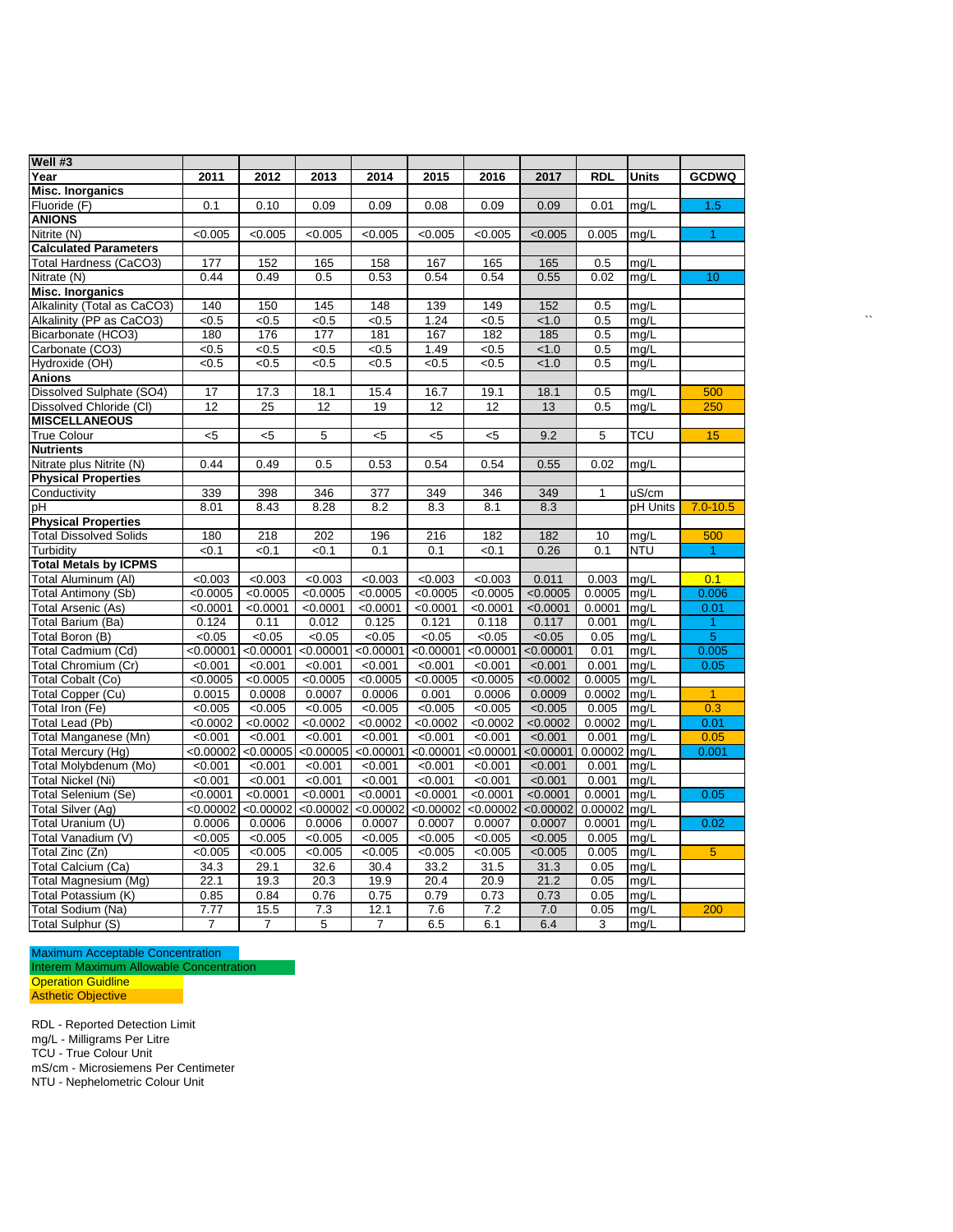| Well #3                       |                |                |                |                  |                |                   |           |                |              |                      |
|-------------------------------|----------------|----------------|----------------|------------------|----------------|-------------------|-----------|----------------|--------------|----------------------|
| Year                          | 2011           | 2012           | 2013           | 2014             | 2015           | 2016              | 2017      | <b>RDL</b>     | <b>Units</b> | <b>GCDWQ</b>         |
| <b>Misc. Inorganics</b>       |                |                |                |                  |                |                   |           |                |              |                      |
| Fluoride (F)                  | 0.1            | 0.10           | 0.09           | 0.09             | 0.08           | 0.09              | 0.09      | 0.01           | mg/L         | 1.5                  |
| <b>ANIONS</b>                 |                |                |                |                  |                |                   |           |                |              |                      |
| Nitrite (N)                   | < 0.005        | < 0.005        | < 0.005        | < 0.005          | < 0.005        | < 0.005           | < 0.005   | 0.005          | mg/L         | $\blacktriangleleft$ |
| <b>Calculated Parameters</b>  |                |                |                |                  |                |                   |           |                |              |                      |
| Total Hardness (CaCO3)        | 177            | 152            | 165            | 158              | 167            | 165               | 165       | 0.5            | mg/L         |                      |
| Nitrate (N)                   | 0.44           | 0.49           | 0.5            | 0.53             | 0.54           | 0.54              | 0.55      | 0.02           | mg/L         | 10 <sup>°</sup>      |
| <b>Misc. Inorganics</b>       |                |                |                |                  |                |                   |           |                |              |                      |
| Alkalinity (Total as CaCO3)   | 140            | 150            | 145            | $\overline{148}$ | 139            | 149               | 152       | 0.5            | mg/L         |                      |
| Alkalinity (PP as CaCO3)      | <0.5           | <0.5           | <0.5           | <0.5             | 1.24           | <0.5              | < 1.0     | 0.5            | mq/L         |                      |
| Bicarbonate (HCO3)            | 180            | 176            | 177            | 181              | 167            | 182               | 185       | 0.5            | mq/L         |                      |
| Carbonate (CO3)               | < 0.5          | < 0.5          | <0.5           | <0.5             | 1.49           | <0.5              | < 1.0     | 0.5            | mg/L         |                      |
| Hydroxide (OH)                | <0.5           | < 0.5          | <0.5           | < 0.5            | < 0.5          | < 0.5             | < 1.0     | 0.5            | mg/L         |                      |
| <b>Anions</b>                 |                |                |                |                  |                |                   |           |                |              |                      |
| Dissolved Sulphate (SO4)      | 17             | 17.3           | 18.1           | 15.4             | 16.7           | 19.1              | 18.1      | 0.5            | mg/L         | 500                  |
| Dissolved Chloride (CI)       | 12             | 25             | 12             | 19               | 12             | 12                | 13        | 0.5            | mq/L         | 250                  |
| <b>MISCELLANEOUS</b>          |                |                |                |                  |                |                   |           |                |              |                      |
| <b>True Colour</b>            | $5$            | $5$            | 5              | $<$ 5            | < 5            | < 5               | 9.2       | 5              | TCU          | 15                   |
| <b>Nutrients</b>              |                |                |                |                  |                |                   |           |                |              |                      |
| Nitrate plus Nitrite (N)      | 0.44           | 0.49           | 0.5            | 0.53             | 0.54           | 0.54              | 0.55      | 0.02           | mg/L         |                      |
| <b>Physical Properties</b>    |                |                |                |                  |                |                   |           |                |              |                      |
| Conductivity                  | 339            | 398            | 346            | 377              | 349            | 346               | 349       | $\mathbf{1}$   | uS/cm        |                      |
| рH                            | 8.01           | 8.43           | 8.28           | 8.2              | 8.3            | 8.1               | 8.3       |                | pH Units     | $7.0 - 10.5$         |
| <b>Physical Properties</b>    |                |                |                |                  |                |                   |           |                |              |                      |
| <b>Total Dissolved Solids</b> | 180            | 218            | 202            | 196              | 216            | 182               | 182       | 10             | mg/L         | 500                  |
| Turbidity                     | < 0.1          | <0.1           | 50.1           | 0.1              | 0.1            | $\overline{50.1}$ | 0.26      | 0.1            | <b>NTU</b>   | $\blacktriangleleft$ |
| <b>Total Metals by ICPMS</b>  |                |                |                |                  |                |                   |           |                |              |                      |
| Total Aluminum (Al)           | $\sqrt{0.003}$ | $\sqrt{0.003}$ | $\sqrt{0.003}$ | < 0.003          | $\sqrt{0.003}$ | $\sqrt{0.003}$    | 0.011     | 0.003          | mq/L         | 0.1                  |
| <b>Total Antimony (Sb)</b>    | < 0.0005       | < 0.0005       | < 0.0005       | < 0.0005         | < 0.0005       | < 0.0005          | < 0.0005  | 0.0005         | mg/L         | 0.006                |
| Total Arsenic (As)            | < 0.0001       | < 0.0001       | < 0.0001       | < 0.0001         | < 0.0001       | $\sqrt{0.0001}$   | < 0.0001  | 0.0001         | mq/L         | 0.01                 |
| Total Barium (Ba)             | 0.124          | 0.11           | 0.012          | 0.125            | 0.121          | 0.118             | 0.117     | 0.001          | mg/L         | $\blacktriangleleft$ |
| Total Boron (B)               | < 0.05         | < 0.05         | < 0.05         | < 0.05           | < 0.05         | < 0.05            | < 0.05    | 0.05           | mg/L         | $\overline{5}$       |
| Total Cadmium (Cd)            | < 0.00001      | < 0.00001      | < 0.00001      | < 0.00001        | < 0.00001      | < 0.00001         | < 0.00001 | 0.01           | mq/L         | 0.005                |
| Total Chromium (Cr)           | < 0.001        | < 0.001        | < 0.001        | < 0.001          | < 0.001        | < 0.001           | < 0.001   | 0.001          | mg/L         | 0.05                 |
| Total Cobalt (Co)             | < 0.0005       | < 0.0005       | < 0.0005       | < 0.0005         | < 0.0005       | < 0.0005          | < 0.0002  | 0.0005         | mq/L         |                      |
| Total Copper (Cu)             | 0.0015         | 0.0008         | 0.0007         | 0.0006           | 0.001          | 0.0006            | 0.0009    | 0.0002         | mg/L         | $\blacktriangleleft$ |
| Total Iron (Fe)               | < 0.005        | < 0.005        | < 0.005        | < 0.005          | < 0.005        | < 0.005           | < 0.005   | 0.005          | mq/L         | 0.3                  |
| Total Lead (Pb)               | < 0.0002       | < 0.0002       | < 0.0002       | < 0.0002         | < 0.0002       | < 0.0002          | < 0.0002  | 0.0002         | mg/L         | 0.01                 |
| Total Manganese (Mn)          | < 0.001        | < 0.001        | < 0.001        | < 0.001          | < 0.001        | < 0.001           | < 0.001   | 0.001          | mg/L         | 0.05                 |
| Total Mercury (Hg)            | <0.00002       | < 0.00005      | < 0.00005      | < 0.00001        | < 0.00001      | < 0.00001         | < 0.00001 | $0.00002$ mg/L |              | 0.001                |
| Total Molybdenum (Mo)         | < 0.001        | < 0.001        | < 0.001        | < 0.001          | < 0.001        | < 0.001           | < 0.001   | 0.001          | mg/L         |                      |
| Total Nickel (Ni)             | < 0.001        | < 0.001        | < 0.001        | < 0.001          | < 0.001        | < 0.001           | < 0.001   | 0.001          | mq/L         |                      |
| Total Selenium (Se)           | < 0.0001       | < 0.0001       | < 0.0001       | < 0.0001         | < 0.0001       | < 0.0001          | < 0.0001  | 0.0001         | mq/L         | 0.05                 |
| Total Silver (Ag)             | < 0.00002      | < 0.00002      | < 0.00002      | < 0.00002        | < 0.00002      | < 0.00002         | < 0.00002 | 0.00002        | mg/L         |                      |
| Total Uranium (U)             | 0.0006         | 0.0006         | 0.0006         | 0.0007           | 0.0007         | 0.0007            | 0.0007    | 0.0001         | mg/L         | 0.02                 |
| Total Vanadium (V)            | < 0.005        | < 0.005        | < 0.005        | < 0.005          | < 0.005        | < 0.005           | < 0.005   | 0.005          | mg/L         |                      |
| Total Zinc (Zn)               | < 0.005        | < 0.005        | < 0.005        | < 0.005          | < 0.005        | < 0.005           | < 0.005   | 0.005          | mg/L         | $\overline{5}$       |
| Total Calcium (Ca)            | 34.3           | 29.1           | 32.6           | 30.4             | 33.2           | 31.5              | 31.3      | 0.05           | mg/L         |                      |
| Total Magnesium (Mg)          | 22.1           | 19.3           | 20.3           | 19.9             | 20.4           | 20.9              | 21.2      | 0.05           | mg/L         |                      |
| Total Potassium (K)           | 0.85           | 0.84           | 0.76           | 0.75             | 0.79           | 0.73              | 0.73      | 0.05           | mq/L         |                      |
| Total Sodium (Na)             | 7.77           | 15.5           | 7.3            | 12.1             | 7.6            | 7.2               | 7.0       | 0.05           | mq/L         | 200                  |
| Total Sulphur (S)             | $\overline{7}$ | $\overline{7}$ | 5              | 7                | 6.5            | 6.1               | 6.4       | 3              | mg/L         |                      |

Maximum Acceptable Concentration Interem Maximum Allowable Concentration

**Operation Guidline** Asthetic Objective

RDL - Reported Detection Limit

mg/L - Milligrams Per Litre

TCU - True Colour Unit

mS/cm - Microsiemens Per Centimeter

NTU - Nephelometric Colour Unit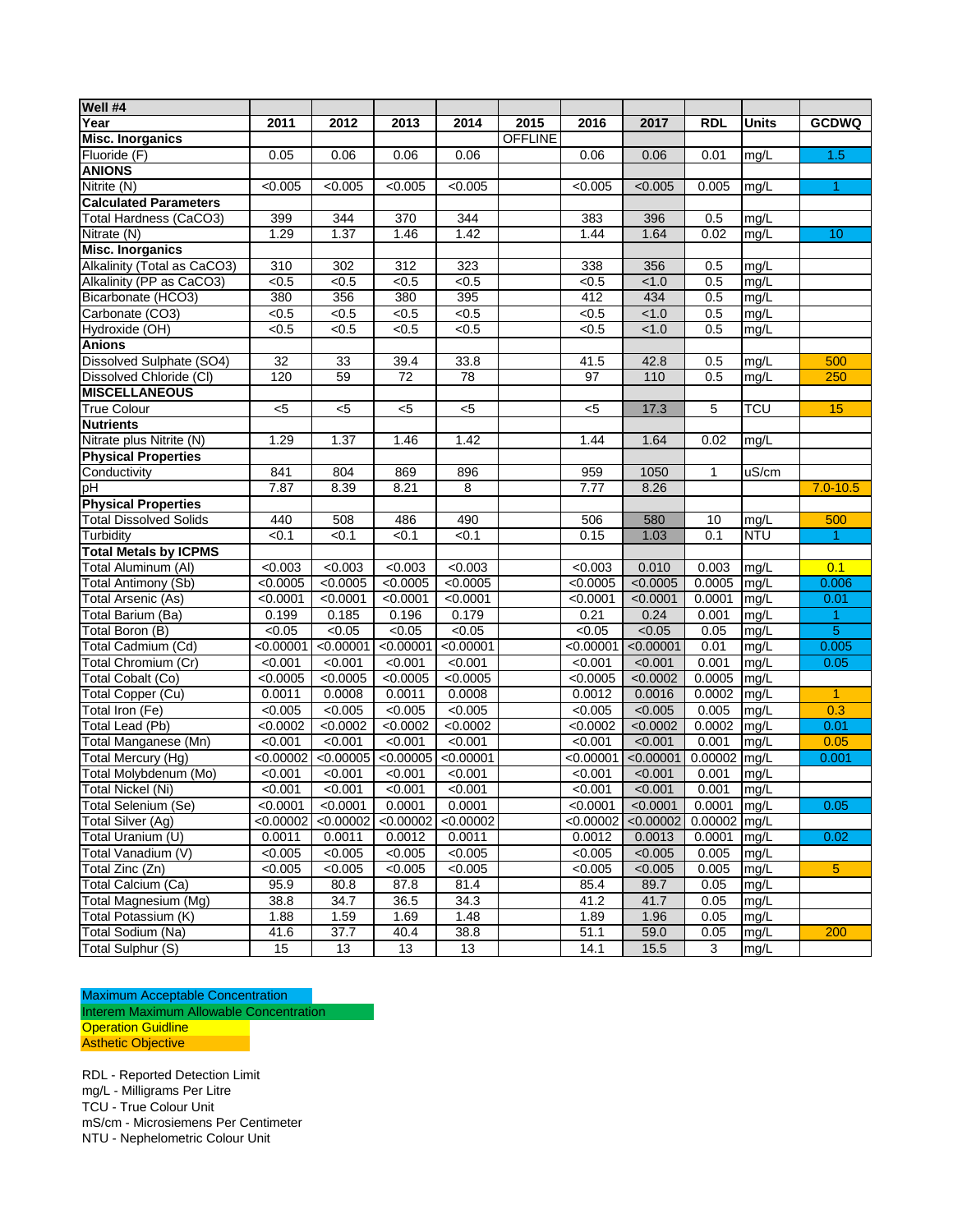| Well #4                       |           |           |                  |                 |                |                 |           |            |              |              |
|-------------------------------|-----------|-----------|------------------|-----------------|----------------|-----------------|-----------|------------|--------------|--------------|
| Year                          | 2011      | 2012      | 2013             | 2014            | 2015           | 2016            | 2017      | <b>RDL</b> | <b>Units</b> | <b>GCDWQ</b> |
| <b>Misc. Inorganics</b>       |           |           |                  |                 | <b>OFFLINE</b> |                 |           |            |              |              |
| Fluoride (F)                  | 0.05      | 0.06      | 0.06             | 0.06            |                | 0.06            | 0.06      | 0.01       | mg/L         | 1.5          |
| <b>ANIONS</b>                 |           |           |                  |                 |                |                 |           |            |              |              |
| Nitrite (N)                   | < 0.005   | < 0.005   | < 0.005          | < 0.005         |                | < 0.005         | < 0.005   | 0.005      | mg/L         | $\mathbf{1}$ |
| <b>Calculated Parameters</b>  |           |           |                  |                 |                |                 |           |            |              |              |
| Total Hardness (CaCO3)        | 399       | 344       | $\overline{370}$ | 344             |                | 383             | 396       | 0.5        | mg/L         |              |
| Nitrate (N)                   | 1.29      | 1.37      | 1.46             | 1.42            |                | 1.44            | 1.64      | 0.02       | mg/L         | 10           |
| <b>Misc. Inorganics</b>       |           |           |                  |                 |                |                 |           |            |              |              |
| Alkalinity (Total as CaCO3)   | 310       | 302       | 312              | 323             |                | 338             | 356       | 0.5        | mg/L         |              |
| Alkalinity (PP as CaCO3)      | < 0.5     | < 0.5     | < 0.5            | $\sqrt{6.5}$    |                | <0.5            | < 1.0     | 0.5        | mg/L         |              |
| Bicarbonate (HCO3)            | 380       | 356       | 380              | 395             |                | 412             | 434       | 0.5        | mg/L         |              |
| Carbonate (CO3)               | < 0.5     | < 0.5     | < 0.5            | < 0.5           |                | < 0.5           | < 1.0     | 0.5        | mg/L         |              |
| Hydroxide (OH)                | < 0.5     | < 0.5     | < 0.5            | < 0.5           |                | < 0.5           | < 1.0     | 0.5        | mg/L         |              |
| <b>Anions</b>                 |           |           |                  |                 |                |                 |           |            |              |              |
| Dissolved Sulphate (SO4)      | 32        | 33        | 39.4             | 33.8            |                | 41.5            | 42.8      | 0.5        | mg/L         | 500          |
| Dissolved Chloride (CI)       | 120       | 59        | 72               | $\overline{78}$ |                | $\overline{97}$ | 110       | 0.5        | mg/L         | 250          |
| <b>MISCELLANEOUS</b>          |           |           |                  |                 |                |                 |           |            |              |              |
| <b>True Colour</b>            | <5        | $<$ 5     | $5$              | $5$             |                | $<$ 5           | 17.3      | 5          | <b>TCU</b>   | 15           |
| <b>Nutrients</b>              |           |           |                  |                 |                |                 |           |            |              |              |
| Nitrate plus Nitrite (N)      | 1.29      | 1.37      | 1.46             | 1.42            |                | 1.44            | 1.64      | 0.02       | mg/L         |              |
| <b>Physical Properties</b>    |           |           |                  |                 |                |                 |           |            |              |              |
| Conductivity                  | 841       | 804       | 869              | 896             |                | 959             | 1050      | 1          | uS/cm        |              |
| þН                            | 7.87      | 8.39      | 8.21             | 8               |                | 7.77            | 8.26      |            |              | $7.0 - 10.5$ |
| <b>Physical Properties</b>    |           |           |                  |                 |                |                 |           |            |              |              |
| <b>Total Dissolved Solids</b> | 440       | 508       | 486              | 490             |                | 506             | 580       | 10         | mg/L         | 500          |
| Turbidity                     | < 0.1     | < 0.1     | < 0.1            | < 0.1           |                | 0.15            | 1.03      | 0.1        | <b>NTU</b>   | 1.           |
| <b>Total Metals by ICPMS</b>  |           |           |                  |                 |                |                 |           |            |              |              |
| Total Aluminum (AI)           | < 0.003   | < 0.003   | < 0.003          | < 0.003         |                | < 0.003         | 0.010     | 0.003      | mg/L         | 0.1          |
| Total Antimony (Sb)           | < 0.0005  | < 0.0005  | < 0.0005         | < 0.0005        |                | < 0.0005        | < 0.0005  | 0.0005     | mg/L         | 0.006        |
| Total Arsenic (As)            | < 0.0001  | < 0.0001  | < 0.0001         | < 0.0001        |                | <0.0001         | < 0.0001  | 0.0001     | mg/L         | 0.01         |
| Total Barium (Ba)             | 0.199     | 0.185     | 0.196            | 0.179           |                | 0.21            | 0.24      | 0.001      | mg/L         | $\mathbf{1}$ |
| Total Boron (B)               | < 0.05    | < 0.05    | < 0.05           | < 0.05          |                | < 0.05          | < 0.05    | 0.05       | mg/L         | 5            |
| Total Cadmium (Cd)            | < 0.00001 | < 0.00001 | < 0.00001        | < 0.00001       |                | < 0.00001       | < 0.00001 | 0.01       | mg/L         | 0.005        |
| Total Chromium (Cr)           | < 0.001   | < 0.001   | < 0.001          | < 0.001         |                | < 0.001         | < 0.001   | 0.001      | mg/L         | 0.05         |
| Total Cobalt (Co)             | < 0.0005  | < 0.0005  | < 0.0005         | < 0.0005        |                | <0.0005         | < 0.0002  | 0.0005     | mg/L         |              |
| <b>Total Copper (Cu)</b>      | 0.0011    | 0.0008    | 0.0011           | 0.0008          |                | 0.0012          | 0.0016    | 0.0002     | mg/L         | $\mathbf{1}$ |
| Total Iron (Fe)               | < 0.005   | < 0.005   | < 0.005          | < 0.005         |                | < 0.005         | < 0.005   | 0.005      | mg/L         | 0.3          |
| Total Lead (Pb)               | <0.0002   | < 0.0002  | < 0.0002         | < 0.0002        |                | $\sqrt{0.0002}$ | < 0.0002  | 0.0002     | mg/L         | 0.01         |
| Total Manganese (Mn)          | < 0.001   | < 0.001   | < 0.001          | < 0.001         |                | < 0.001         | < 0.001   | 0.001      | mg/L         | 0.05         |
| Total Mercury (Hg)            | < 0.00002 | < 0.00005 | < 0.00005        | < 0.00001       |                | < 0.00001       | < 0.00001 | 0.00002    | mg/L         | 0.001        |
| Total Molybdenum (Mo)         | < 0.001   | < 0.001   | < 0.001          | < 0.001         |                | < 0.001         | < 0.001   | 0.001      | mg/L         |              |
| Total Nickel (Ni)             | < 0.001   | < 0.001   | < 0.001          | < 0.001         |                | < 0.001         | < 0.001   | 0.001      | mg/L         |              |
| Total Selenium (Se)           | < 0.0001  | < 0.0001  | 0.0001           | 0.0001          |                | < 0.0001        | < 0.0001  | 0.0001     | mg/L         | 0.05         |
| Total Silver (Ag)             | <0.00002  | <0.00002  | < 0.00002        | < 0.00002       |                | < 0.00002       | < 0.00002 | 0.00002    | mg/L         |              |
| Total Uranium (U)             | 0.0011    | 0.0011    | 0.0012           | 0.0011          |                | 0.0012          | 0.0013    | 0.0001     | mg/L         | 0.02         |
| Total Vanadium (V)            | < 0.005   | < 0.005   | < 0.005          | < 0.005         |                | < 0.005         | < 0.005   | 0.005      | mg/L         |              |
| Total Zinc (Zn)               | < 0.005   | < 0.005   | < 0.005          | < 0.005         |                | < 0.005         | < 0.005   | 0.005      | mg/L         | 5            |
| Total Calcium (Ca)            | 95.9      | 80.8      | 87.8             | 81.4            |                | 85.4            | 89.7      | 0.05       | mg/L         |              |
| Total Magnesium (Mg)          | 38.8      | 34.7      | 36.5             | 34.3            |                | 41.2            | 41.7      | 0.05       | mg/L         |              |
| Total Potassium (K)           | 1.88      | 1.59      | 1.69             | 1.48            |                | 1.89            | 1.96      | 0.05       | mg/L         |              |
| Total Sodium (Na)             | 41.6      | 37.7      | 40.4             | 38.8            |                | 51.1            | 59.0      | 0.05       | mg/L         | 200          |
| Total Sulphur (S)             | 15        | 13        | 13               | 13              |                | 14.1            | 15.5      | 3          | mg/L         |              |

Maximum Acceptable Concentration Interem Maximum Allowable Concentration Operation Guidline Asthetic Objective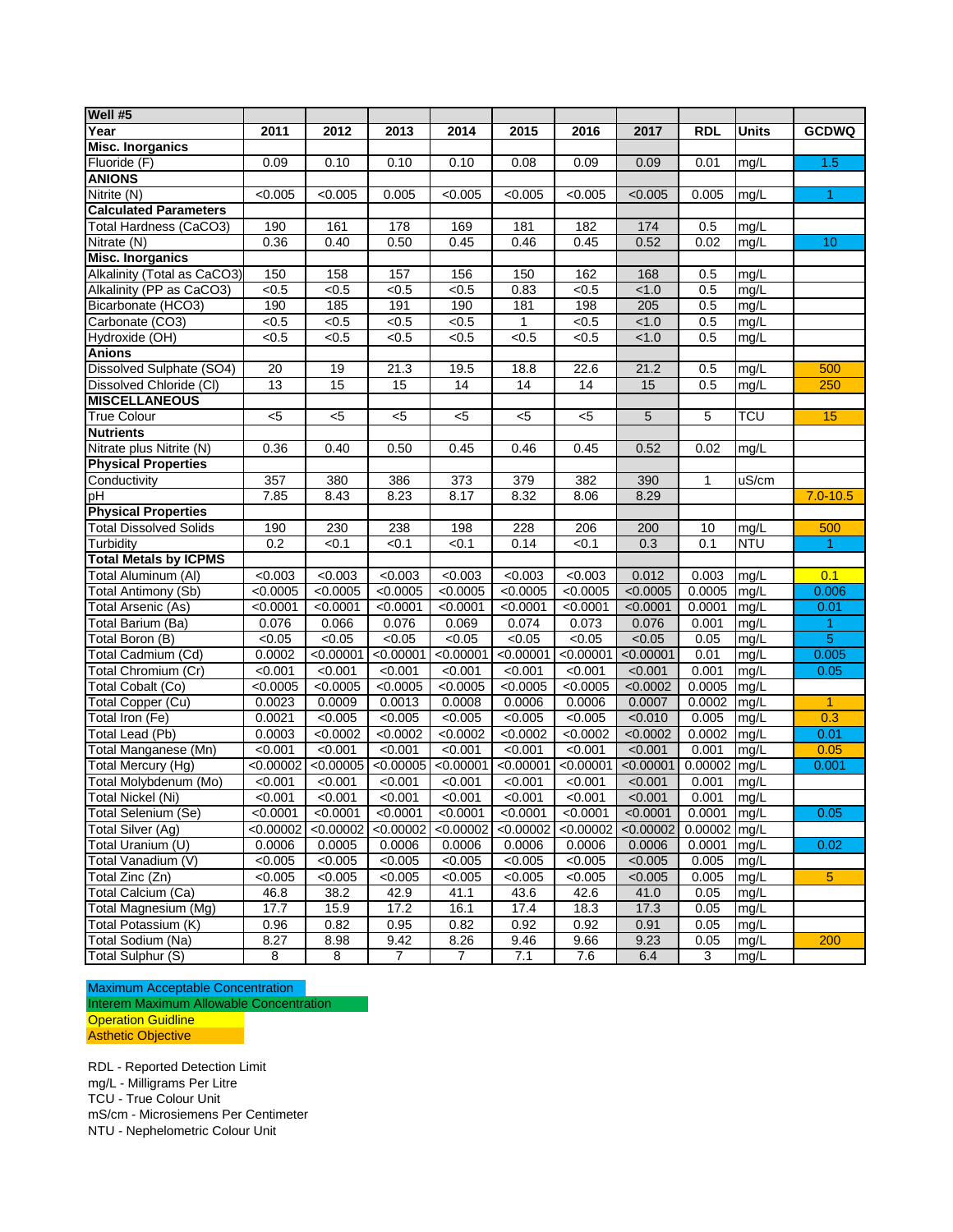| Well #5                       |                  |           |                |                |           |           |           |            |              |                |
|-------------------------------|------------------|-----------|----------------|----------------|-----------|-----------|-----------|------------|--------------|----------------|
| Year                          | 2011             | 2012      | 2013           | 2014           | 2015      | 2016      | 2017      | <b>RDL</b> | <b>Units</b> | <b>GCDWQ</b>   |
| <b>Misc. Inorganics</b>       |                  |           |                |                |           |           |           |            |              |                |
| Fluoride (F)                  | 0.09             | 0.10      | 0.10           | 0.10           | 0.08      | 0.09      | 0.09      | 0.01       | mg/L         | 1.5            |
| <b>ANIONS</b>                 |                  |           |                |                |           |           |           |            |              |                |
| Nitrite (N)                   | < 0.005          | < 0.005   | 0.005          | < 0.005        | < 0.005   | < 0.005   | < 0.005   | 0.005      | mg/L         | 1.             |
| <b>Calculated Parameters</b>  |                  |           |                |                |           |           |           |            |              |                |
| Total Hardness (CaCO3)        | 190              | 161       | 178            | 169            | 181       | 182       | 174       | 0.5        | mg/L         |                |
| Nitrate (N)                   | 0.36             | 0.40      | 0.50           | 0.45           | 0.46      | 0.45      | 0.52      | 0.02       | mg/L         | 10             |
| <b>Misc. Inorganics</b>       |                  |           |                |                |           |           |           |            |              |                |
| Alkalinity (Total as CaCO3)   | 150              | 158       | 157            | 156            | 150       | 162       | 168       | 0.5        | mg/L         |                |
| Alkalinity (PP as CaCO3)      | < 0.5            | < 0.5     | < 0.5          | < 0.5          | 0.83      | < 0.5     | < 1.0     | 0.5        | mg/L         |                |
| Bicarbonate (HCO3)            | 190              | 185       | 191            | 190            | 181       | 198       | 205       | 0.5        | mg/L         |                |
| Carbonate (CO3)               | < 0.5            | < 0.5     | < 0.5          | < 0.5          | 1         | < 0.5     | < 1.0     | 0.5        | mg/L         |                |
| Hydroxide (OH)                | < 0.5            | < 0.5     | < 0.5          | < 0.5          | < 0.5     | < 0.5     | < 1.0     | 0.5        | mg/L         |                |
| <b>Anions</b>                 |                  |           |                |                |           |           |           |            |              |                |
| Dissolved Sulphate (SO4)      | 20               | 19        | 21.3           | 19.5           | 18.8      | 22.6      | 21.2      | 0.5        | mg/L         | 500            |
| Dissolved Chloride (CI)       | 13               | 15        | 15             | 14             | 14        | 14        | 15        | 0.5        | mg/L         | 250            |
| <b>MISCELLANEOUS</b>          |                  |           |                |                |           |           |           |            |              |                |
| <b>True Colour</b>            | $<$ 5            | $<$ 5     | $<$ 5          | $<$ 5          | $5$       | <5        | 5         | 5          | <b>TCU</b>   | 15             |
| <b>Nutrients</b>              |                  |           |                |                |           |           |           |            |              |                |
| Nitrate plus Nitrite (N)      | 0.36             | 0.40      | 0.50           | 0.45           | 0.46      | 0.45      | 0.52      | 0.02       | mg/L         |                |
| <b>Physical Properties</b>    |                  |           |                |                |           |           |           |            |              |                |
| Conductivity                  | 357              | 380       | 386            | 373            | 379       | 382       | 390       | 1          | uS/cm        |                |
| pH                            | 7.85             | 8.43      | 8.23           | 8.17           | 8.32      | 8.06      | 8.29      |            |              | $7.0 - 10.5$   |
| <b>Physical Properties</b>    |                  |           |                |                |           |           |           |            |              |                |
| <b>Total Dissolved Solids</b> | 190              | 230       | 238            | 198            | 228       | 206       | 200       | 10         | mg/L         | 500            |
| Turbidity                     | 0.2              | < 0.1     | < 0.1          | < 0.1          | 0.14      | < 0.1     | 0.3       | 0.1        | <b>NTU</b>   | 1.             |
| <b>Total Metals by ICPMS</b>  |                  |           |                |                |           |           |           |            |              |                |
| Total Aluminum (AI)           | < 0.003          | < 0.003   | < 0.003        | < 0.003        | < 0.003   | < 0.003   | 0.012     | 0.003      | mg/L         | 0.1            |
| Total Antimony (Sb)           | <0.0005          | < 0.0005  | < 0.0005       | < 0.0005       | < 0.0005  | < 0.0005  | < 0.0005  | 0.0005     | mg/L         | 0.006          |
| Total Arsenic (As)            | < 0.0001         | < 0.0001  | < 0.0001       | < 0.0001       | < 0.0001  | < 0.0001  | < 0.0001  | 0.0001     | mg/L         | 0.01           |
| Total Barium (Ba)             | 0.076            | 0.066     | 0.076          | 0.069          | 0.074     | 0.073     | 0.076     | 0.001      | mg/L         | 1              |
| Total Boron (B)               | $\frac{1}{0.05}$ | < 0.05    | < 0.05         | < 0.05         | < 0.05    | < 0.05    | < 0.05    | 0.05       | mg/L         | $\overline{5}$ |
| Total Cadmium (Cd)            | 0.0002           | < 0.00001 | < 0.00001      | < 0.00001      | < 0.00001 | < 0.00001 | < 0.00001 | 0.01       | mg/L         | 0.005          |
| Total Chromium (Cr)           | < 0.001          | < 0.001   | < 0.001        | < 0.001        | < 0.001   | < 0.001   | < 0.001   | 0.001      | mg/L         | 0.05           |
| Total Cobalt (Co)             | < 0.0005         | < 0.0005  | < 0.0005       | < 0.0005       | < 0.0005  | < 0.0005  | < 0.0002  | 0.0005     | mg/L         |                |
| Total Copper (Cu)             | 0.0023           | 0.0009    | 0.0013         | 0.0008         | 0.0006    | 0.0006    | 0.0007    | 0.0002     | mg/L         | $\mathbf{1}$   |
| Total Iron (Fe)               | 0.0021           | < 0.005   | < 0.005        | < 0.005        | < 0.005   | < 0.005   | < 0.010   | 0.005      | mg/L         | 0.3            |
| <b>Total Lead (Pb)</b>        | 0.0003           | < 0.0002  | < 0.0002       | < 0.0002       | < 0.0002  | < 0.0002  | < 0.0002  | 0.0002     | mg/L         | 0.01           |
| Total Manganese (Mn)          | < 0.001          | < 0.001   | < 0.001        | < 0.001        | < 0.001   | < 0.001   | < 0.001   | 0.001      | mg/L         | 0.05           |
| Total Mercury (Hg)            | < 0.00002        | < 0.00005 | < 0.00005      | <0.00001       | < 0.00001 | < 0.00001 | < 0.00001 | 0.00002    | mg/L         | 0.001          |
| Total Molybdenum (Mo)         | < 0.001          | < 0.001   | < 0.001        | < 0.001        | < 0.001   | < 0.001   | < 0.001   | 0.001      | mg/L         |                |
| Total Nickel (Ni)             | < 0.001          | < 0.001   | < 0.001        | < 0.001        | < 0.001   | < 0.001   | < 0.001   | 0.001      | mq/L         |                |
| Total Selenium (Se)           | < 0.0001         | < 0.0001  | < 0.0001       | < 0.0001       | < 0.0001  | < 0.0001  | < 0.0001  | 0.0001     | mg/L         | 0.05           |
| Total Silver (Ag)             | < 0.00002        | < 0.00002 | < 0.00002      | < 0.00002      | < 0.00002 | < 0.00002 | < 0.00002 | 0.00002    | mg/L         |                |
| Total Uranium (U)             | 0.0006           | 0.0005    | 0.0006         | 0.0006         | 0.0006    | 0.0006    | 0.0006    | 0.0001     | mg/L         | 0.02           |
| Total Vanadium (V)            | < 0.005          | < 0.005   | < 0.005        | < 0.005        | < 0.005   | < 0.005   | < 0.005   | 0.005      | mg/L         |                |
| Total Zinc (Zn)               | < 0.005          | < 0.005   | < 0.005        | < 0.005        | < 0.005   | < 0.005   | < 0.005   | 0.005      | mg/L         | 5              |
| Total Calcium (Ca)            | 46.8             | 38.2      | 42.9           | 41.1           | 43.6      | 42.6      | 41.0      | 0.05       | mg/L         |                |
| Total Magnesium (Mg)          | 17.7             | 15.9      | 17.2           | 16.1           | 17.4      | 18.3      | 17.3      | 0.05       | mg/L         |                |
| Total Potassium (K)           | 0.96             | 0.82      | 0.95           | 0.82           | 0.92      | 0.92      | 0.91      | 0.05       | mg/L         |                |
| Total Sodium (Na)             | 8.27             | 8.98      | 9.42           | 8.26           | 9.46      | 9.66      | 9.23      | 0.05       | mg/L         | 200            |
| Total Sulphur (S)             | 8                | 8         | $\overline{7}$ | $\overline{7}$ | 7.1       | 7.6       | 6.4       | 3          | mg/L         |                |

Maximum Acceptable Concentration Interem Maximum Allowable Concentration **Operation Guidline** Asthetic Objective